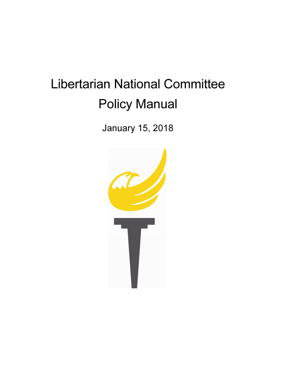# Libertarian National Committee Policy Manual

January 15, 2018

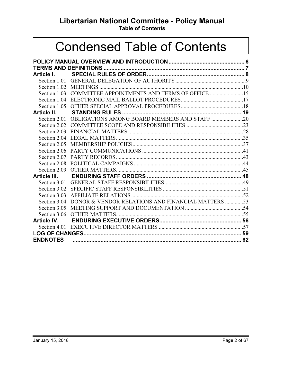Libertarian National Committee - Policy Manual

Table of Contents

## Condensed Table of Contents

| Article I.      |                                                            |  |
|-----------------|------------------------------------------------------------|--|
|                 |                                                            |  |
|                 |                                                            |  |
|                 | Section 1.03 COMMITTEE APPOINTMENTS AND TERMS OF OFFICE 15 |  |
|                 |                                                            |  |
|                 |                                                            |  |
| Article II.     |                                                            |  |
|                 | Section 2.01 OBLIGATIONS AMONG BOARD MEMBERS AND STAFF 20  |  |
|                 |                                                            |  |
|                 |                                                            |  |
|                 |                                                            |  |
|                 |                                                            |  |
|                 |                                                            |  |
| Section 2.07    |                                                            |  |
| Section 2.08    |                                                            |  |
|                 |                                                            |  |
|                 |                                                            |  |
|                 |                                                            |  |
|                 |                                                            |  |
|                 |                                                            |  |
| Section 3.04    | DONOR & VENDOR RELATIONS AND FINANCIAL MATTERS 53          |  |
|                 |                                                            |  |
|                 |                                                            |  |
|                 |                                                            |  |
|                 |                                                            |  |
|                 |                                                            |  |
| <b>ENDNOTES</b> |                                                            |  |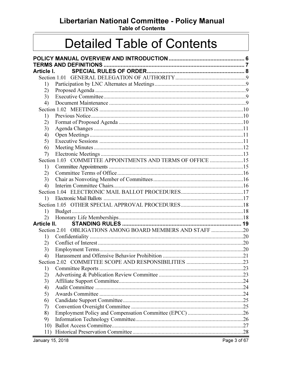Libertarian National Committee - Policy Manual

**Table of Contents** 

## **Detailed Table of Contents**

| Article I.                   |                                                            |  |
|------------------------------|------------------------------------------------------------|--|
|                              |                                                            |  |
| 1)                           |                                                            |  |
| 2)                           |                                                            |  |
| 3)                           |                                                            |  |
| 4)                           |                                                            |  |
|                              |                                                            |  |
| 1)                           |                                                            |  |
| 2)                           |                                                            |  |
| 3)                           |                                                            |  |
| 4)                           |                                                            |  |
| 5)                           |                                                            |  |
| 6)                           |                                                            |  |
| 7)                           |                                                            |  |
|                              | Section 1.03 COMMITTEE APPOINTMENTS AND TERMS OF OFFICE 15 |  |
| 1)                           |                                                            |  |
| 2)                           |                                                            |  |
| 3)                           |                                                            |  |
| 4)                           |                                                            |  |
|                              |                                                            |  |
| $\left( \frac{1}{2} \right)$ |                                                            |  |
|                              |                                                            |  |
| 1)                           |                                                            |  |
| 2)                           |                                                            |  |
| Article II.                  |                                                            |  |
|                              |                                                            |  |
| 1)                           |                                                            |  |
| 2)                           |                                                            |  |
| 3)                           |                                                            |  |
| 4)                           |                                                            |  |
|                              |                                                            |  |
| 1)                           |                                                            |  |
| 2)                           |                                                            |  |
| 3)                           |                                                            |  |
| 4)                           |                                                            |  |
| 5)                           |                                                            |  |
| 6)                           |                                                            |  |
| 7)                           |                                                            |  |
| 8)                           |                                                            |  |
| 9)                           |                                                            |  |
| 10)                          |                                                            |  |
| 11)                          |                                                            |  |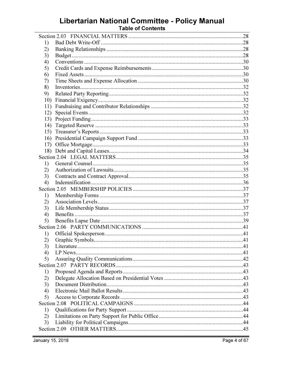# Libertarian National Committee - Policy Manual<br>Table of Contents

| 1)  |  |
|-----|--|
| 2)  |  |
| 3)  |  |
| 4)  |  |
| 5)  |  |
| 6)  |  |
| 7)  |  |
| 8)  |  |
| 9)  |  |
| 10) |  |
| 11) |  |
| 12) |  |
| 13) |  |
| 14) |  |
|     |  |
|     |  |
| 17) |  |
|     |  |
|     |  |
| 1)  |  |
| 2)  |  |
| 3)  |  |
| 4)  |  |
|     |  |
| 1)  |  |
| 2)  |  |
| 3)  |  |
| 4)  |  |
| 5)  |  |
|     |  |
| 1)  |  |
| 2)  |  |
| 3)  |  |
| 4)  |  |
| 5)  |  |
|     |  |
| 1)  |  |
| 2)  |  |
| 3)  |  |
| 4)  |  |
| 5)  |  |
|     |  |
| 1)  |  |
| 2)  |  |
| 3)  |  |
|     |  |
|     |  |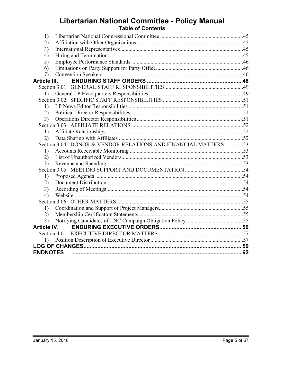# Libertarian National Committee - Policy Manual<br>Table of Contents

| 1)                 |                                                                |  |
|--------------------|----------------------------------------------------------------|--|
| 2)                 |                                                                |  |
| 3)                 |                                                                |  |
| 4)                 |                                                                |  |
| 5)                 |                                                                |  |
| 6)                 |                                                                |  |
| 7)                 |                                                                |  |
| Article III.       |                                                                |  |
|                    |                                                                |  |
| 1)                 |                                                                |  |
|                    |                                                                |  |
| 1)                 |                                                                |  |
| 2)                 |                                                                |  |
| 3)                 |                                                                |  |
|                    |                                                                |  |
| 1)                 |                                                                |  |
| 2)                 |                                                                |  |
|                    | Section 3.04 DONOR & VENDOR RELATIONS AND FINANCIAL MATTERS 53 |  |
| 1)                 |                                                                |  |
| 2)                 |                                                                |  |
| 3)                 |                                                                |  |
|                    |                                                                |  |
| 1)                 |                                                                |  |
| (2)                |                                                                |  |
| 3)                 |                                                                |  |
| 4)                 |                                                                |  |
|                    |                                                                |  |
| 1)                 |                                                                |  |
| (2)                |                                                                |  |
| 3)                 |                                                                |  |
| <b>Article IV.</b> |                                                                |  |
|                    |                                                                |  |
|                    |                                                                |  |
|                    |                                                                |  |
| <b>ENDNOTES</b>    |                                                                |  |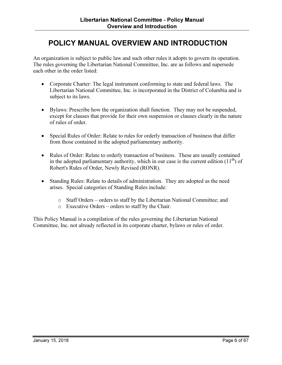## POLICY MANUAL OVERVIEW AND INTRODUCTION

An organization is subject to public law and such other rules it adopts to govern its operation. The rules governing the Libertarian National Committee, Inc. are as follows and supersede each other in the order listed:

- Corporate Charter: The legal instrument conforming to state and federal laws. The Libertarian National Committee, Inc. is incorporated in the District of Columbia and is subject to its laws.
- Bylaws: Prescribe how the organization shall function. They may not be suspended, except for clauses that provide for their own suspension or clauses clearly in the nature of rules of order.
- Special Rules of Order: Relate to rules for orderly transaction of business that differ from those contained in the adopted parliamentary authority.
- Rules of Order: Relate to orderly transaction of business. These are usually contained in the adopted parliamentary authority, which in our case is the current edition  $(11<sup>th</sup>)$  of Robert's Rules of Order, Newly Revised (RONR).
- Standing Rules: Relate to details of administration. They are adopted as the need arises. Special categories of Standing Rules include:
	- o Staff Orders orders to staff by the Libertarian National Committee; and
	- o Executive Orders orders to staff by the Chair.

This Policy Manual is a compilation of the rules governing the Libertarian National Committee, Inc. not already reflected in its corporate charter, bylaws or rules of order.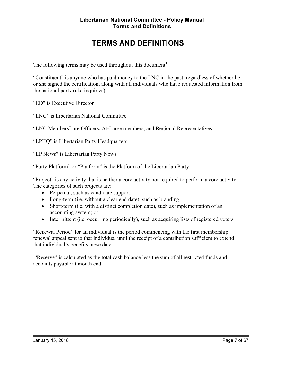## TERMS AND DEFINITIONS

The following terms may be used throughout this document<sup>1</sup>:

"Constituent" is anyone who has paid money to the LNC in the past, regardless of whether he or she signed the certification, along with all individuals who have requested information from the national party (aka inquiries).

"ED" is Executive Director

"LNC" is Libertarian National Committee

"LNC Members" are Officers, At-Large members, and Regional Representatives

"LPHQ" is Libertarian Party Headquarters

"LP News" is Libertarian Party News

"Party Platform" or "Platform" is the Platform of the Libertarian Party

"Project" is any activity that is neither a core activity nor required to perform a core activity. The categories of such projects are:

- Perpetual, such as candidate support;
- Long-term (i.e. without a clear end date), such as branding;
- Short-term (i.e. with a distinct completion date), such as implementation of an accounting system; or
- Intermittent (i.e. occurring periodically), such as acquiring lists of registered voters

"Renewal Period" for an individual is the period commencing with the first membership renewal appeal sent to that individual until the receipt of a contribution sufficient to extend that individual's benefits lapse date.

 "Reserve" is calculated as the total cash balance less the sum of all restricted funds and accounts payable at month end.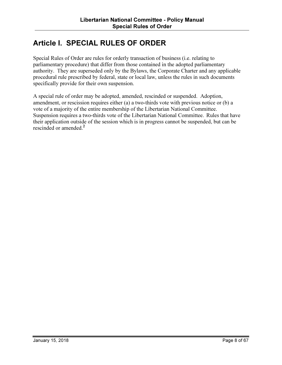## Article I. SPECIAL RULES OF ORDER

Special Rules of Order are rules for orderly transaction of business (i.e. relating to parliamentary procedure) that differ from those contained in the adopted parliamentary authority. They are superseded only by the Bylaws, the Corporate Charter and any applicable procedural rule prescribed by federal, state or local law, unless the rules in such documents specifically provide for their own suspension.

A special rule of order may be adopted, amended, rescinded or suspended. Adoption, amendment, or rescission requires either (a) a two-thirds vote with previous notice or (b) a vote of a majority of the entire membership of the Libertarian National Committee. Suspension requires a two-thirds vote of the Libertarian National Committee. Rules that have their application outside of the session which is in progress cannot be suspended, but can be rescinded or amended.<sup>2</sup>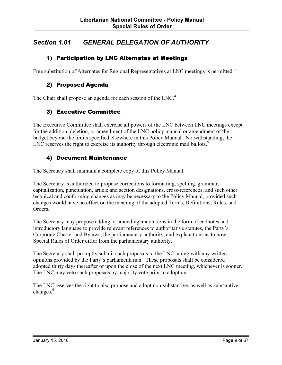## Section 1.01 GENERAL DELEGATION OF AUTHORITY

#### 1) Participation by LNC Alternates at Meetings

Free substitution of Alternates for Regional Representatives at LNC meetings is permitted.<sup>3</sup>

#### 2) Proposed Agenda

The Chair shall propose an agenda for each session of the LNC.<sup>4</sup>

#### 3) Executive Committee

The Executive Committee shall exercise all powers of the LNC between LNC meetings except for the addition, deletion, or amendment of the LNC policy manual or amendment of the budget beyond the limits specified elsewhere in this Policy Manual. Notwithstanding, the LNC reserves the right to exercise its authority through electronic mail ballots. $5$ 

#### 4) Document Maintenance

The Secretary shall maintain a complete copy of this Policy Manual.

The Secretary is authorized to propose corrections to formatting, spelling, grammar, capitalization, punctuation, article and section designations, cross-references, and such other technical and conforming changes as may be necessary to the Policy Manual, provided such changes would have no effect on the meaning of the adopted Terms, Definitions, Rules, and Orders.

The Secretary may propose adding or amending annotations in the form of endnotes and introductory language to provide relevant references to authoritative statutes, the Party's Corporate Charter and Bylaws, the parliamentary authority, and explanations as to how Special Rules of Order differ from the parliamentary authority.

The Secretary shall promptly submit such proposals to the LNC, along with any written opinions provided by the Party's parliamentarian. These proposals shall be considered adopted thirty days thereafter or upon the close of the next LNC meeting, whichever is sooner. The LNC may veto such proposals by majority vote prior to adoption.

The LNC reserves the right to also propose and adopt non-substantive, as well as substantive, changes.<sup>6</sup>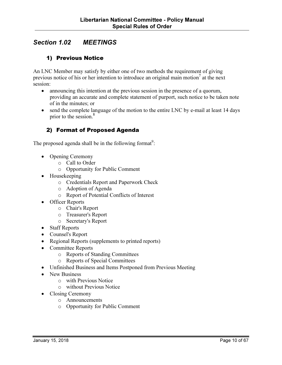## Section 1.02 MEETINGS

#### 1) Previous Notice

An LNC Member may satisfy by either one of two methods the requirement of giving previous notice of his or her intention to introduce an original main motion<sup>7</sup> at the next session:

- announcing this intention at the previous session in the presence of a quorum, providing an accurate and complete statement of purport, such notice to be taken note of in the minutes; or
- send the complete language of the motion to the entire LNC by e-mail at least 14 days prior to the session.<sup>8</sup>

#### 2) Format of Proposed Agenda

The proposed agenda shall be in the following format<sup>9</sup>:

- Opening Ceremony
	- o Call to Order
	- o Opportunity for Public Comment
- Housekeeping
	- o Credentials Report and Paperwork Check
	- o Adoption of Agenda
	- o Report of Potential Conflicts of Interest
- Officer Reports
	- o Chair's Report
	- o Treasurer's Report
	- o Secretary's Report
- Staff Reports
- Counsel's Report
- Regional Reports (supplements to printed reports)
- Committee Reports
	- o Reports of Standing Committees
	- o Reports of Special Committees
- Unfinished Business and Items Postponed from Previous Meeting
- New Business
	- o with Previous Notice
	- o without Previous Notice
- Closing Ceremony
	- o Announcements
	- o Opportunity for Public Comment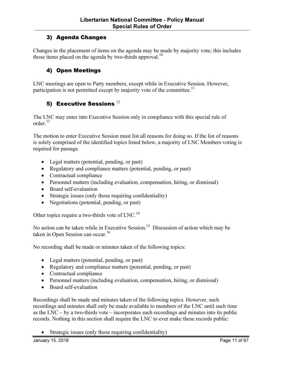#### 3) Agenda Changes

Changes in the placement of items on the agenda may be made by majority vote; this includes those items placed on the agenda by two-thirds approval.<sup>10</sup>

#### 4) Open Meetings

LNC meetings are open to Party members, except while in Executive Session. However, participation is not permitted except by majority vote of the committee.<sup>11</sup>

#### 5) Executive Sessions  $^{12}$

The LNC may enter into Executive Session only in compliance with this special rule of order. $13$ 

The motion to enter Executive Session must list all reasons for doing so. If the list of reasons is solely comprised of the identified topics listed below, a majority of LNC Members voting is required for passage.

- Legal matters (potential, pending, or past)
- Regulatory and compliance matters (potential, pending, or past)
- Contractual compliance
- Personnel matters (including evaluation, compensation, hiring, or dismissal)
- Board self-evaluation
- Strategic issues (only those requiring confidentiality)
- Negotiations (potential, pending, or past)

Other topics require a two-thirds vote of LNC.<sup>14</sup>

No action can be taken while in Executive Session.<sup>15</sup> Discussion of action which may be taken in Open Session can occur.<sup>16</sup>

No recording shall be made or minutes taken of the following topics:

- Legal matters (potential, pending, or past)
- Regulatory and compliance matters (potential, pending, or past)
- Contractual compliance
- Personnel matters (including evaluation, compensation, hiring, or dismissal)
- Board self-evaluation

Recordings shall be made and minutes taken of the following topics. However, such recordings and minutes shall only be made available to members of the LNC until such time as the LNC – by a two-thirds vote – incorporates such recordings and minutes into its public records. Nothing in this section shall require the LNC to ever make these records public:

• Strategic issues (only those requiring confidentiality)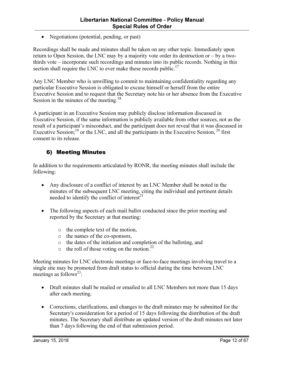• Negotiations (potential, pending, or past)

Recordings shall be made and minutes shall be taken on any other topic. Immediately upon return to Open Session, the LNC may by a majority vote order its destruction or – by a twothirds vote – incorporate such recordings and minutes into its public records. Nothing in this section shall require the LNC to ever make these records public.<sup>17</sup>

Any LNC Member who is unwilling to commit to maintaining confidentiality regarding any particular Executive Session is obligated to excuse himself or herself from the entire Executive Session and to request that the Secretary note his or her absence from the Executive Session in the minutes of the meeting.<sup>18</sup>

A participant in an Executive Session may publicly disclose information discussed in Executive Session, if the same information is publicly available from other sources, not as the result of a participant's misconduct, and the participant does not reveal that it was discussed in Executive Session;<sup>19</sup> or the LNC, and all the participants in the Executive Session,<sup>20</sup> first consent to its release.

#### 6) Meeting Minutes

In addition to the requirements articulated by RONR, the meeting minutes shall include the following:

- Any disclosure of a conflict of interest by an LNC Member shall be noted in the minutes of the subsequent LNC meeting, citing the individual and pertinent details needed to identify the conflict of interest $^{21}$
- The following aspects of each mail ballot conducted since the prior meeting and reported by the Secretary at that meeting:
	- o the complete text of the motion,
	- o the names of the co-sponsors,
	- o the dates of the initiation and completion of the balloting, and
	- $\circ$  the roll of those voting on the motion.<sup>22</sup>

Meeting minutes for LNC electronic meetings or face-to-face meetings involving travel to a single site may be promoted from draft status to official during the time between LNC meetings as follows<sup>23</sup>:

- Draft minutes shall be mailed or emailed to all LNC Members not more than 15 days after each meeting.
- Corrections, clarifications, and changes to the draft minutes may be submitted for the Secretary's consideration for a period of 15 days following the distribution of the draft minutes. The Secretary shall distribute an updated version of the draft minutes not later than 7 days following the end of that submission period.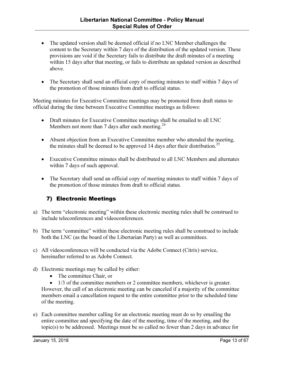- The updated version shall be deemed official if no LNC Member challenges the content to the Secretary within 7 days of the distribution of the updated version. These provisions are void if the Secretary fails to distribute the draft minutes of a meeting within 15 days after that meeting, or fails to distribute an updated version as described above.
- The Secretary shall send an official copy of meeting minutes to staff within 7 days of the promotion of those minutes from draft to official status.

Meeting minutes for Executive Committee meetings may be promoted from draft status to official during the time between Executive Committee meetings as follows:

- Draft minutes for Executive Committee meetings shall be emailed to all LNC Members not more than 7 days after each meeting.<sup>24</sup>
- Absent objection from an Executive Committee member who attended the meeting, the minutes shall be deemed to be approved 14 days after their distribution.<sup>25</sup>
- Executive Committee minutes shall be distributed to all LNC Members and alternates within 7 days of such approval.
- The Secretary shall send an official copy of meeting minutes to staff within 7 days of the promotion of those minutes from draft to official status.

#### 7) Electronic Meetings

- a) The term "electronic meeting" within these electronic meeting rules shall be construed to include teleconferences and videoconferences.
- b) The term "committee" within these electronic meeting rules shall be construed to include both the LNC (as the board of the Libertarian Party) as well as committees.
- c) All videoconferences will be conducted via the Adobe Connect (Citrix) service, hereinafter referred to as Adobe Connect.
- d) Electronic meetings may be called by either:
	- The committee Chair, or

• 1/3 of the committee members or 2 committee members, whichever is greater. However, the call of an electronic meeting can be canceled if a majority of the committee members email a cancellation request to the entire committee prior to the scheduled time of the meeting.

e) Each committee member calling for an electronic meeting must do so by emailing the entire committee and specifying the date of the meeting, time of the meeting, and the topic(s) to be addressed. Meetings must be so called no fewer than 2 days in advance for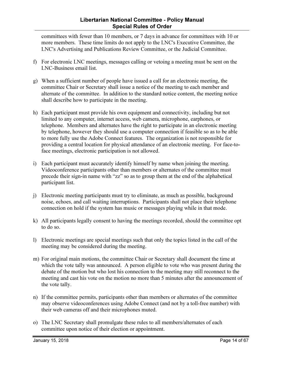#### Libertarian National Committee - Policy Manual Special Rules of Order

committees with fewer than 10 members, or 7 days in advance for committees with 10 or more members. These time limits do not apply to the LNC's Executive Committee, the LNC's Advertising and Publications Review Committee, or the Judicial Committee.

- f) For electronic LNC meetings, messages calling or vetoing a meeting must be sent on the LNC-Business email list.
- g) When a sufficient number of people have issued a call for an electronic meeting, the committee Chair or Secretary shall issue a notice of the meeting to each member and alternate of the committee. In addition to the standard notice content, the meeting notice shall describe how to participate in the meeting.
- h) Each participant must provide his own equipment and connectivity, including but not limited to any computer, internet access, web camera, microphone, earphones, or telephone. Members and alternates have the right to participate in an electronic meeting by telephone, however they should use a computer connection if feasible so as to be able to more fully use the Adobe Connect features. The organization is not responsible for providing a central location for physical attendance of an electronic meeting. For face-toface meetings, electronic participation is not allowed.
- i) Each participant must accurately identify himself by name when joining the meeting. Videoconference participants other than members or alternates of the committee must precede their sign-in name with "zz" so as to group them at the end of the alphabetical participant list.
- j) Electronic meeting participants must try to eliminate, as much as possible, background noise, echoes, and call waiting interruptions. Participants shall not place their telephone connection on hold if the system has music or messages playing while in that mode.
- k) All participants legally consent to having the meetings recorded, should the committee opt to do so.
- l) Electronic meetings are special meetings such that only the topics listed in the call of the meeting may be considered during the meeting.
- m) For original main motions, the committee Chair or Secretary shall document the time at which the vote tally was announced. A person eligible to vote who was present during the debate of the motion but who lost his connection to the meeting may still reconnect to the meeting and cast his vote on the motion no more than 5 minutes after the announcement of the vote tally.
- n) If the committee permits, participants other than members or alternates of the committee may observe videoconferences using Adobe Connect (and not by a toll-free number) with their web cameras off and their microphones muted.
- o) The LNC Secretary shall promulgate these rules to all members/alternates of each committee upon notice of their election or appointment.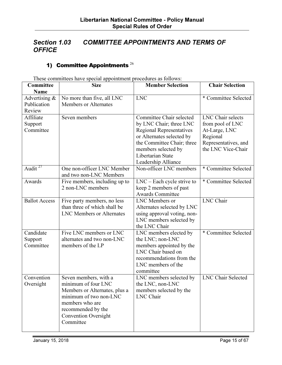## Section 1.03 COMMITTEE APPOINTMENTS AND TERMS OF **OFFICE**

## 1) Committee Appointments  $^{26}$

| Committee<br>Name                         | rnese commutees have special appointment procedures as follows.<br><b>Size</b>                                                                                                               | <b>Member Selection</b>                                                                                                                                                                                              | <b>Chair Selection</b>                                                                                                  |
|-------------------------------------------|----------------------------------------------------------------------------------------------------------------------------------------------------------------------------------------------|----------------------------------------------------------------------------------------------------------------------------------------------------------------------------------------------------------------------|-------------------------------------------------------------------------------------------------------------------------|
| Advertising $\&$<br>Publication<br>Review | No more than five, all LNC<br><b>Members or Alternates</b>                                                                                                                                   | <b>LNC</b>                                                                                                                                                                                                           | * Committee Selected                                                                                                    |
| Affiliate<br>Support<br>Committee         | Seven members                                                                                                                                                                                | Committee Chair selected<br>by LNC Chair; three LNC<br><b>Regional Representatives</b><br>or Alternates selected by<br>the Committee Chair; three<br>members selected by<br>Libertarian State<br>Leadership Alliance | <b>LNC</b> Chair selects<br>from pool of LNC<br>At-Large, LNC<br>Regional<br>Representatives, and<br>the LNC Vice-Chair |
| Audit $^{27}$                             | One non-officer LNC Member<br>and two non-LNC Members                                                                                                                                        | Non-officer LNC members                                                                                                                                                                                              | * Committee Selected                                                                                                    |
| Awards                                    | Five members, including up to<br>2 non-LNC members                                                                                                                                           | $LNC$ – Each cycle strive to<br>keep 2 members of past<br><b>Awards Committee</b>                                                                                                                                    | * Committee Selected                                                                                                    |
| <b>Ballot Access</b>                      | Five party members, no less<br>than three of which shall be<br><b>LNC Members or Alternates</b>                                                                                              | LNC Members or<br>Alternates selected by LNC<br>using approval voting, non-<br>LNC members selected by<br>the LNC Chair                                                                                              | <b>LNC</b> Chair                                                                                                        |
| Candidate<br>Support<br>Committee         | Five LNC members or LNC<br>alternates and two non-LNC<br>members of the LP                                                                                                                   | LNC members elected by<br>the LNC; non-LNC<br>members appointed by the<br>LNC Chair based on<br>recommendations from the<br>LNC members of the<br>committee                                                          | * Committee Selected                                                                                                    |
| Convention<br>Oversight                   | Seven members, with a<br>minimum of four LNC<br>Members or Alternates, plus a<br>minimum of two non-LNC<br>members who are<br>recommended by the<br><b>Convention Oversight</b><br>Committee | LNC members selected by<br>the LNC, non-LNC<br>members selected by the<br>LNC Chair                                                                                                                                  | <b>LNC Chair Selected</b>                                                                                               |

These committees have special appointment procedures as follows: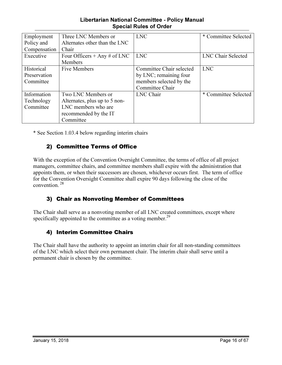#### Libertarian National Committee - Policy Manual Special Rules of Order

| Employment   | Three LNC Members or          | <b>LNC</b>               | * Committee Selected |
|--------------|-------------------------------|--------------------------|----------------------|
| Policy and   | Alternates other than the LNC |                          |                      |
| Compensation | Chair                         |                          |                      |
| Executive    | Four Officers + Any # of LNC  | <b>LNC</b>               | LNC Chair Selected   |
|              | Members                       |                          |                      |
| Historical   | <b>Five Members</b>           | Committee Chair selected | <b>LNC</b>           |
| Preservation |                               | by LNC; remaining four   |                      |
| Committee    |                               | members selected by the  |                      |
|              |                               | Committee Chair          |                      |
| Information  | Two LNC Members or            | LNC Chair                | * Committee Selected |
| Technology   | Alternates, plus up to 5 non- |                          |                      |
| Committee    | LNC members who are           |                          |                      |
|              | recommended by the IT         |                          |                      |
|              | Committee                     |                          |                      |

\* See Section 1.03.4 below regarding interim chairs

#### 2) Committee Terms of Office

With the exception of the Convention Oversight Committee, the terms of office of all project managers, committee chairs, and committee members shall expire with the administration that appoints them, or when their successors are chosen, whichever occurs first. The term of office for the Convention Oversight Committee shall expire 90 days following the close of the convention.<sup>28</sup>

#### 3) Chair as Nonvoting Member of Committees

The Chair shall serve as a nonvoting member of all LNC created committees, except where specifically appointed to the committee as a voting member.<sup>29</sup>

#### 4) Interim Committee Chairs

The Chair shall have the authority to appoint an interim chair for all non-standing committees of the LNC which select their own permanent chair. The interim chair shall serve until a permanent chair is chosen by the committee.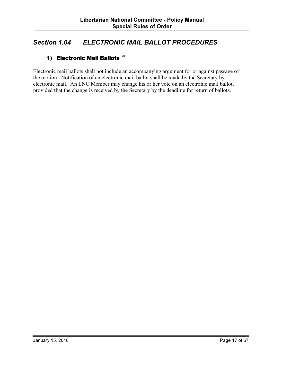## Section 1.04 ELECTRONIC MAIL BALLOT PROCEDURES

## 1) Electronic Mail Ballots  $30$

Electronic mail ballots shall not include an accompanying argument for or against passage of the motion. Notification of an electronic mail ballot shall be made by the Secretary by electronic mail. An LNC Member may change his or her vote on an electronic mail ballot, provided that the change is received by the Secretary by the deadline for return of ballots.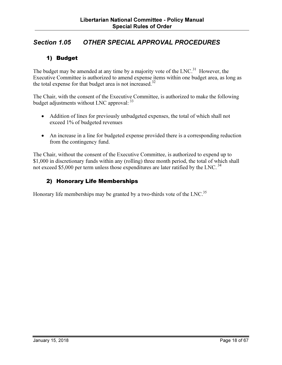## Section 1.05 OTHER SPECIAL APPROVAL PROCEDURES

#### 1) Budget

The budget may be amended at any time by a majority vote of the  $LNC<sup>31</sup>$  However, the Executive Committee is authorized to amend expense items within one budget area, as long as the total expense for that budget area is not increased.<sup>32</sup>

The Chair, with the consent of the Executive Committee, is authorized to make the following budget adjustments without LNC approval:  $33$ 

- Addition of lines for previously unbudgeted expenses, the total of which shall not exceed 1% of budgeted revenues
- An increase in a line for budgeted expense provided there is a corresponding reduction from the contingency fund.

The Chair, without the consent of the Executive Committee, is authorized to expend up to \$1,000 in discretionary funds within any (rolling) three month period, the total of which shall not exceed \$5,000 per term unless those expenditures are later ratified by the LNC.<sup>34</sup>

#### 2) Honorary Life Memberships

Honorary life memberships may be granted by a two-thirds vote of the LNC.<sup>35</sup>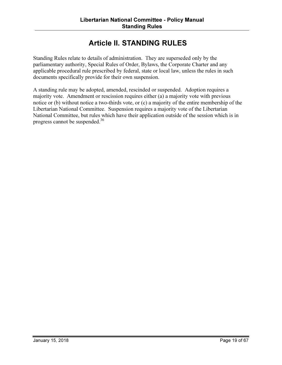## Article II. STANDING RULES

Standing Rules relate to details of administration. They are superseded only by the parliamentary authority, Special Rules of Order, Bylaws, the Corporate Charter and any applicable procedural rule prescribed by federal, state or local law, unless the rules in such documents specifically provide for their own suspension.

A standing rule may be adopted, amended, rescinded or suspended. Adoption requires a majority vote. Amendment or rescission requires either (a) a majority vote with previous notice or (b) without notice a two-thirds vote, or (c) a majority of the entire membership of the Libertarian National Committee. Suspension requires a majority vote of the Libertarian National Committee, but rules which have their application outside of the session which is in progress cannot be suspended.<sup>36</sup>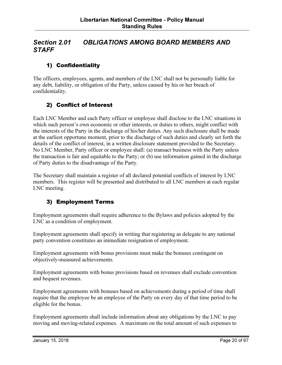## Section 2.01 OBLIGATIONS AMONG BOARD MEMBERS AND **STAFF**

#### 1) Confidentiality

The officers, employees, agents, and members of the LNC shall not be personally liable for any debt, liability, or obligation of the Party, unless caused by his or her breach of confidentiality.

#### 2) Conflict of Interest

Each LNC Member and each Party officer or employee shall disclose to the LNC situations in which such person's own economic or other interests, or duties to others, might conflict with the interests of the Party in the discharge of his/her duties. Any such disclosure shall be made at the earliest opportune moment, prior to the discharge of such duties and clearly set forth the details of the conflict of interest, in a written disclosure statement provided to the Secretary. No LNC Member, Party officer or employee shall: (a) transact business with the Party unless the transaction is fair and equitable to the Party; or (b) use information gained in the discharge of Party duties to the disadvantage of the Party.

The Secretary shall maintain a register of all declared potential conflicts of interest by LNC members. This register will be presented and distributed to all LNC members at each regular LNC meeting.

#### 3) Employment Terms

Employment agreements shall require adherence to the Bylaws and policies adopted by the LNC as a condition of employment.

Employment agreements shall specify in writing that registering as delegate to any national party convention constitutes an immediate resignation of employment.

Employment agreements with bonus provisions must make the bonuses contingent on objectively-measured achievements.

Employment agreements with bonus provisions based on revenues shall exclude convention and bequest revenues.

Employment agreements with bonuses based on achievements during a period of time shall require that the employee be an employee of the Party on every day of that time period to be eligible for the bonus.

Employment agreements shall include information about any obligations by the LNC to pay moving and moving-related expenses. A maximum on the total amount of such expenses to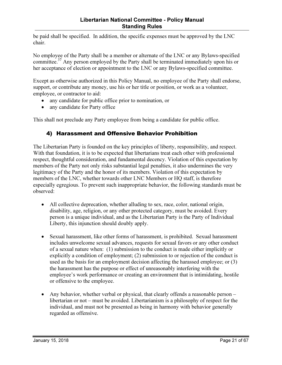be paid shall be specified. In addition, the specific expenses must be approved by the LNC chair.

No employee of the Party shall be a member or alternate of the LNC or any Bylaws-specified committee.<sup>37</sup> Any person employed by the Party shall be terminated immediately upon his or her acceptance of election or appointment to the LNC or any Bylaws-specified committee.

Except as otherwise authorized in this Policy Manual, no employee of the Party shall endorse, support, or contribute any money, use his or her title or position, or work as a volunteer, employee, or contractor to aid:

- any candidate for public office prior to nomination, or
- any candidate for Party office

This shall not preclude any Party employee from being a candidate for public office.

#### 4) Harassment and Offensive Behavior Prohibition

The Libertarian Party is founded on the key principles of liberty, responsibility, and respect. With that foundation, it is to be expected that libertarians treat each other with professional respect, thoughtful consideration, and fundamental decency. Violation of this expectation by members of the Party not only risks substantial legal penalties, it also undermines the very legitimacy of the Party and the honor of its members. Violation of this expectation by members of the LNC, whether towards other LNC Members or HQ staff, is therefore especially egregious. To prevent such inappropriate behavior, the following standards must be observed:

- All collective deprecation, whether alluding to sex, race, color, national origin, disability, age, religion, or any other protected category, must be avoided. Every person is a unique individual, and as the Libertarian Party is the Party of Individual Liberty, this injunction should doubly apply.
- Sexual harassment, like other forms of harassment, is prohibited. Sexual harassment includes unwelcome sexual advances, requests for sexual favors or any other conduct of a sexual nature when: (1) submission to the conduct is made either implicitly or explicitly a condition of employment; (2) submission to or rejection of the conduct is used as the basis for an employment decision affecting the harassed employee; or (3) the harassment has the purpose or effect of unreasonably interfering with the employee's work performance or creating an environment that is intimidating, hostile or offensive to the employee.
- Any behavior, whether verbal or physical, that clearly offends a reasonable person libertarian or not – must be avoided. Libertarianism is a philosophy of respect for the individual, and must not be presented as being in harmony with behavior generally regarded as offensive.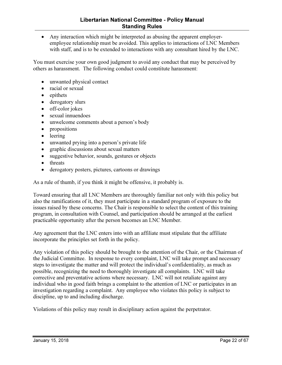• Any interaction which might be interpreted as abusing the apparent employeremployee relationship must be avoided. This applies to interactions of LNC Members with staff, and is to be extended to interactions with any consultant hired by the LNC.

You must exercise your own good judgment to avoid any conduct that may be perceived by others as harassment. The following conduct could constitute harassment:

- unwanted physical contact
- racial or sexual
- epithets
- derogatory slurs
- off-color jokes
- sexual innuendoes
- unwelcome comments about a person's body
- propositions
- leering
- unwanted prying into a person's private life
- graphic discussions about sexual matters
- suggestive behavior, sounds, gestures or objects
- threats
- derogatory posters, pictures, cartoons or drawings

As a rule of thumb, if you think it might be offensive, it probably is.

Toward ensuring that all LNC Members are thoroughly familiar not only with this policy but also the ramifications of it, they must participate in a standard program of exposure to the issues raised by these concerns. The Chair is responsible to select the content of this training program, in consultation with Counsel, and participation should be arranged at the earliest practicable opportunity after the person becomes an LNC Member.

Any agreement that the LNC enters into with an affiliate must stipulate that the affiliate incorporate the principles set forth in the policy.

Any violation of this policy should be brought to the attention of the Chair, or the Chairman of the Judicial Committee. In response to every complaint, LNC will take prompt and necessary steps to investigate the matter and will protect the individual's confidentiality, as much as possible, recognizing the need to thoroughly investigate all complaints. LNC will take corrective and preventative actions where necessary. LNC will not retaliate against any individual who in good faith brings a complaint to the attention of LNC or participates in an investigation regarding a complaint. Any employee who violates this policy is subject to discipline, up to and including discharge.

Violations of this policy may result in disciplinary action against the perpetrator.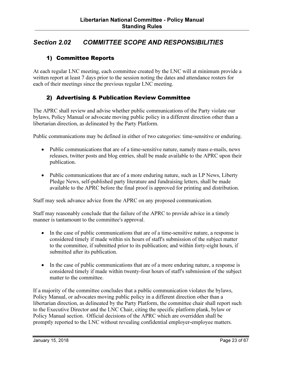## Section 2.02 COMMITTEE SCOPE AND RESPONSIBILITIES

#### 1) Committee Reports

At each regular LNC meeting, each committee created by the LNC will at minimum provide a written report at least 7 days prior to the session noting the dates and attendance rosters for each of their meetings since the previous regular LNC meeting.

#### 2) Advertising & Publication Review Committee

The APRC shall review and advise whether public communications of the Party violate our bylaws, Policy Manual or advocate moving public policy in a different direction other than a libertarian direction, as delineated by the Party Platform.

Public communications may be defined in either of two categories: time-sensitive or enduring.

- Public communications that are of a time-sensitive nature, namely mass e-mails, news releases, twitter posts and blog entries, shall be made available to the APRC upon their publication.
- Public communications that are of a more enduring nature, such as LP News, Liberty Pledge News, self-published party literature and fundraising letters, shall be made available to the APRC before the final proof is approved for printing and distribution.

Staff may seek advance advice from the APRC on any proposed communication.

Staff may reasonably conclude that the failure of the APRC to provide advice in a timely manner is tantamount to the committee's approval.

- In the case of public communications that are of a time-sensitive nature, a response is considered timely if made within six hours of staff's submission of the subject matter to the committee, if submitted prior to its publication; and within forty-eight hours, if submitted after its publication.
- In the case of public communications that are of a more enduring nature, a response is considered timely if made within twenty-four hours of staff's submission of the subject matter to the committee.

If a majority of the committee concludes that a public communication violates the bylaws, Policy Manual, or advocates moving public policy in a different direction other than a libertarian direction, as delineated by the Party Platform, the committee chair shall report such to the Executive Director and the LNC Chair, citing the specific platform plank, bylaw or Policy Manual section. Official decisions of the APRC which are overridden shall be promptly reported to the LNC without revealing confidential employer-employee matters.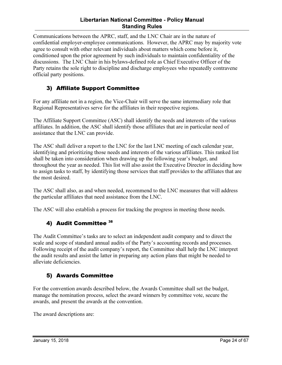#### Libertarian National Committee - Policy Manual Standing Rules

Communications between the APRC, staff, and the LNC Chair are in the nature of confidential employer-employee communications. However, the APRC may by majority vote agree to consult with other relevant individuals about matters which come before it, conditioned upon the prior agreement by such individuals to maintain confidentiality of the discussions. The LNC Chair in his bylaws-defined role as Chief Executive Officer of the Party retains the sole right to discipline and discharge employees who repeatedly contravene official party positions.

#### 3) Affiliate Support Committee

For any affiliate not in a region, the Vice-Chair will serve the same intermediary role that Regional Representatives serve for the affiliates in their respective regions.

The Affiliate Support Committee (ASC) shall identify the needs and interests of the various affiliates. In addition, the ASC shall identify those affiliates that are in particular need of assistance that the LNC can provide.

The ASC shall deliver a report to the LNC for the last LNC meeting of each calendar year, identifying and prioritizing those needs and interests of the various affiliates. This ranked list shall be taken into consideration when drawing up the following year's budget, and throughout the year as needed. This list will also assist the Executive Director in deciding how to assign tasks to staff, by identifying those services that staff provides to the affiliates that are the most desired.

The ASC shall also, as and when needed, recommend to the LNC measures that will address the particular affiliates that need assistance from the LNC.

The ASC will also establish a process for tracking the progress in meeting those needs.

#### 4) Audit Committee 38

The Audit Committee's tasks are to select an independent audit company and to direct the scale and scope of standard annual audits of the Party's accounting records and processes. Following receipt of the audit company's report, the Committee shall help the LNC interpret the audit results and assist the latter in preparing any action plans that might be needed to alleviate deficiencies.

#### 5) Awards Committee

For the convention awards described below, the Awards Committee shall set the budget, manage the nomination process, select the award winners by committee vote, secure the awards, and present the awards at the convention.

The award descriptions are: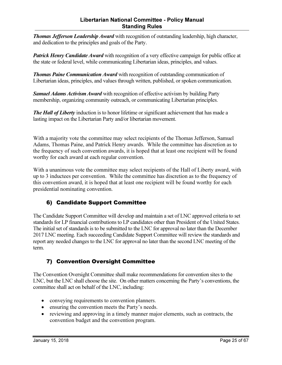#### Libertarian National Committee - Policy Manual Standing Rules

**Thomas Jefferson Leadership Award** with recognition of outstanding leadership, high character, and dedication to the principles and goals of the Party.

**Patrick Henry Candidate Award** with recognition of a very effective campaign for public office at the state or federal level, while communicating Libertarian ideas, principles, and values.

**Thomas Paine Communication Award** with recognition of outstanding communication of Libertarian ideas, principles, and values through written, published, or spoken communication.

Samuel Adams Activism Award with recognition of effective activism by building Party membership, organizing community outreach, or communicating Libertarian principles.

**The Hall of Liberty** induction is to honor lifetime or significant achievement that has made a lasting impact on the Libertarian Party and/or libertarian movement.

With a majority vote the committee may select recipients of the Thomas Jefferson, Samuel Adams, Thomas Paine, and Patrick Henry awards. While the committee has discretion as to the frequency of such convention awards, it is hoped that at least one recipient will be found worthy for each award at each regular convention.

With a unanimous vote the committee may select recipients of the Hall of Liberty award, with up to 3 inductees per convention. While the committee has discretion as to the frequency of this convention award, it is hoped that at least one recipient will be found worthy for each presidential nominating convention.

## 6) Candidate Support Committee

The Candidate Support Committee will develop and maintain a set of LNC approved criteria to set standards for LP financial contributions to LP candidates other than President of the United States. The initial set of standards is to be submitted to the LNC for approval no later than the December 2017 LNC meeting. Each succeeding Candidate Support Committee will review the standards and report any needed changes to the LNC for approval no later than the second LNC meeting of the term.

#### 7) Convention Oversight Committee

The Convention Oversight Committee shall make recommendations for convention sites to the LNC, but the LNC shall choose the site. On other matters concerning the Party's conventions, the committee shall act on behalf of the LNC, including:

- conveying requirements to convention planners.
- ensuring the convention meets the Party's needs.
- reviewing and approving in a timely manner major elements, such as contracts, the convention budget and the convention program.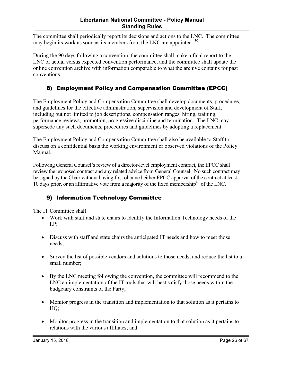The committee shall periodically report its decisions and actions to the LNC. The committee may begin its work as soon as its members from the LNC are appointed.<sup>39</sup>

During the 90 days following a convention, the committee shall make a final report to the LNC of actual versus expected convention performance, and the committee shall update the online convention archive with information comparable to what the archive contains for past conventions.

## 8) Employment Policy and Compensation Committee (EPCC)

The Employment Policy and Compensation Committee shall develop documents, procedures, and guidelines for the effective administration, supervision and development of Staff, including but not limited to job descriptions, compensation ranges, hiring, training, performance reviews, promotion, progressive discipline and termination. The LNC may supersede any such documents, procedures and guidelines by adopting a replacement.

The Employment Policy and Compensation Committee shall also be available to Staff to discuss on a confidential basis the working environment or observed violations of the Policy Manual.

Following General Counsel's review of a director-level employment contract, the EPCC shall review the proposed contract and any related advice from General Counsel. No such contract may be signed by the Chair without having first obtained either EPCC approval of the contract at least 10 days prior, or an affirmative vote from a majority of the fixed membership<sup>40</sup> of the LNC.

#### 9) Information Technology Committee

The IT Committee shall

- Work with staff and state chairs to identify the Information Technology needs of the LP;
- Discuss with staff and state chairs the anticipated IT needs and how to meet those needs;
- Survey the list of possible vendors and solutions to those needs, and reduce the list to a small number;
- By the LNC meeting following the convention, the committee will recommend to the LNC an implementation of the IT tools that will best satisfy those needs within the budgetary constraints of the Party;
- Monitor progress in the transition and implementation to that solution as it pertains to HQ;
- Monitor progress in the transition and implementation to that solution as it pertains to relations with the various affiliates; and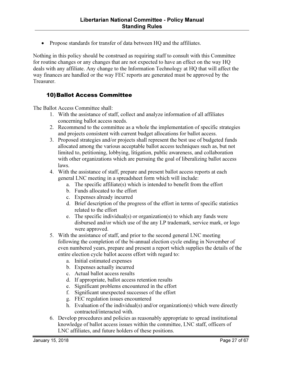• Propose standards for transfer of data between HQ and the affiliates.

Nothing in this policy should be construed as requiring staff to consult with this Committee for routine changes or any changes that are not expected to have an effect on the way HQ deals with any affiliate. Any change to the Information Technology at HQ that will affect the way finances are handled or the way FEC reports are generated must be approved by the Treasurer.

#### 10)Ballot Access Committee

The Ballot Access Committee shall:

- 1. With the assistance of staff, collect and analyze information of all affiliates concerning ballot access needs.
- 2. Recommend to the committee as a whole the implementation of specific strategies and projects consistent with current budget allocations for ballot access.
- 3. Proposed strategies and/or projects shall represent the best use of budgeted funds allocated among the various acceptable ballot access techniques such as, but not limited to, petitioning, lobbying, litigation, public awareness, and collaboration with other organizations which are pursuing the goal of liberalizing ballot access laws.
- 4. With the assistance of staff, prepare and present ballot access reports at each general LNC meeting in a spreadsheet form which will include:
	- a. The specific affiliate(s) which is intended to benefit from the effort
	- b. Funds allocated to the effort
	- c. Expenses already incurred
	- d. Brief description of the progress of the effort in terms of specific statistics related to the effort
	- e. The specific individual(s) or organization(s) to which any funds were disbursed and/or which use of the any LP trademark, service mark, or logo were approved.
- 5. With the assistance of staff, and prior to the second general LNC meeting following the completion of the bi-annual election cycle ending in November of even numbered years, prepare and present a report which supplies the details of the entire election cycle ballot access effort with regard to:
	- a. Initial estimated expenses
	- b. Expenses actually incurred
	- c. Actual ballot access results
	- d. If appropriate, ballot access retention results
	- e. Significant problems encountered in the effort
	- f. Significant unexpected successes of the effort
	- g. FEC regulation issues encountered
	- h. Evaluation of the individual(s) and/or organization(s) which were directly contracted/interacted with.
- 6. Develop procedures and policies as reasonably appropriate to spread institutional knowledge of ballot access issues within the committee, LNC staff, officers of LNC affiliates, and future holders of these positions.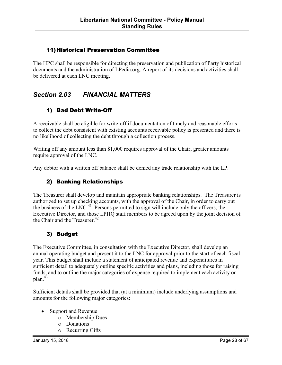#### 11)Historical Preservation Committee

The HPC shall be responsible for directing the preservation and publication of Party historical documents and the administration of LPedia.org. A report of its decisions and activities shall be delivered at each LNC meeting.

## Section 2.03 FINANCIAL MATTERS

## 1) Bad Debt Write-Off

A receivable shall be eligible for write-off if documentation of timely and reasonable efforts to collect the debt consistent with existing accounts receivable policy is presented and there is no likelihood of collecting the debt through a collection process.

Writing off any amount less than \$1,000 requires approval of the Chair; greater amounts require approval of the LNC.

Any debtor with a written off balance shall be denied any trade relationship with the LP.

#### 2) Banking Relationships

The Treasurer shall develop and maintain appropriate banking relationships. The Treasurer is authorized to set up checking accounts, with the approval of the Chair, in order to carry out the business of the LNC.<sup>41</sup> Persons permitted to sign will include only the officers, the Executive Director, and those LPHQ staff members to be agreed upon by the joint decision of the Chair and the Treasurer. $42$ 

#### 3) Budget

The Executive Committee, in consultation with the Executive Director, shall develop an annual operating budget and present it to the LNC for approval prior to the start of each fiscal year. This budget shall include a statement of anticipated revenue and expenditures in sufficient detail to adequately outline specific activities and plans, including those for raising funds, and to outline the major categories of expense required to implement each activity or plan.<sup>43</sup>

Sufficient details shall be provided that (at a minimum) include underlying assumptions and amounts for the following major categories:

- Support and Revenue
	- o Membership Dues
	- o Donations
	- o Recurring Gifts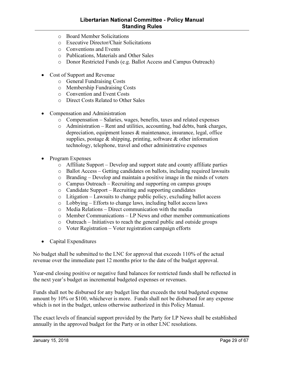#### Libertarian National Committee - Policy Manual Standing Rules

- o Board Member Solicitations
- o Executive Director/Chair Solicitations
- o Conventions and Events
- o Publications, Materials and Other Sales
- o Donor Restricted Funds (e.g. Ballot Access and Campus Outreach)
- Cost of Support and Revenue
	- o General Fundraising Costs
	- o Membership Fundraising Costs
	- o Convention and Event Costs
	- o Direct Costs Related to Other Sales
- Compensation and Administration
	- o Compensation Salaries, wages, benefits, taxes and related expenses
	- o Administration Rent and utilities, accounting, bad debts, bank charges, depreciation, equipment leases & maintenance, insurance, legal, office supplies, postage  $\&$  shipping, printing, software  $\&$  other information technology, telephone, travel and other administrative expenses
- Program Expenses
	- o Affiliate Support Develop and support state and county affiliate parties
	- o Ballot Access Getting candidates on ballots, including required lawsuits
	- o Branding Develop and maintain a positive image in the minds of voters
	- o Campus Outreach Recruiting and supporting on campus groups
	- o Candidate Support Recruiting and supporting candidates
	- o Litigation Lawsuits to change public policy, excluding ballot access
	- o Lobbying Efforts to change laws, including ballot access laws
	- o Media Relations Direct communication with the media
	- o Member Communications LP News and other member communications
	- o Outreach Initiatives to reach the general public and outside groups
	- o Voter Registration Voter registration campaign efforts
- Capital Expenditures

No budget shall be submitted to the LNC for approval that exceeds 110% of the actual revenue over the immediate past 12 months prior to the date of the budget approval.

Year-end closing positive or negative fund balances for restricted funds shall be reflected in the next year's budget as incremental budgeted expenses or revenues.

Funds shall not be disbursed for any budget line that exceeds the total budgeted expense amount by 10% or \$100, whichever is more. Funds shall not be disbursed for any expense which is not in the budget, unless otherwise authorized in this Policy Manual.

The exact levels of financial support provided by the Party for LP News shall be established annually in the approved budget for the Party or in other LNC resolutions.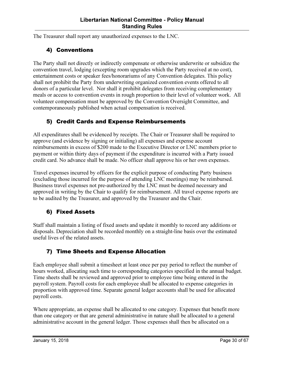The Treasurer shall report any unauthorized expenses to the LNC.

#### 4) Conventions

The Party shall not directly or indirectly compensate or otherwise underwrite or subsidize the convention travel, lodging (excepting room upgrades which the Party received at no cost), entertainment costs or speaker fees/honorariums of any Convention delegates. This policy shall not prohibit the Party from underwriting organized convention events offered to all donors of a particular level. Nor shall it prohibit delegates from receiving complementary meals or access to convention events in rough proportion to their level of volunteer work. All volunteer compensation must be approved by the Convention Oversight Committee, and contemporaneously published when actual compensation is received.

## 5) Credit Cards and Expense Reimbursements

All expenditures shall be evidenced by receipts. The Chair or Treasurer shall be required to approve (and evidence by signing or initialing) all expenses and expense account reimbursements in excess of \$200 made to the Executive Director or LNC members prior to payment or within thirty days of payment if the expenditure is incurred with a Party issued credit card. No advance shall be made. No officer shall approve his or her own expenses.

Travel expenses incurred by officers for the explicit purpose of conducting Party business (excluding those incurred for the purpose of attending LNC meetings) may be reimbursed. Business travel expenses not pre-authorized by the LNC must be deemed necessary and approved in writing by the Chair to qualify for reimbursement. All travel expense reports are to be audited by the Treasurer, and approved by the Treasurer and the Chair.

#### 6) Fixed Assets

Staff shall maintain a listing of fixed assets and update it monthly to record any additions or disposals. Depreciation shall be recorded monthly on a straight-line basis over the estimated useful lives of the related assets.

#### 7) Time Sheets and Expense Allocation

Each employee shall submit a timesheet at least once per pay period to reflect the number of hours worked, allocating such time to corresponding categories specified in the annual budget. Time sheets shall be reviewed and approved prior to employee time being entered in the payroll system. Payroll costs for each employee shall be allocated to expense categories in proportion with approved time. Separate general ledger accounts shall be used for allocated payroll costs.

Where appropriate, an expense shall be allocated to one category. Expenses that benefit more than one category or that are general administrative in nature shall be allocated to a general administrative account in the general ledger. Those expenses shall then be allocated on a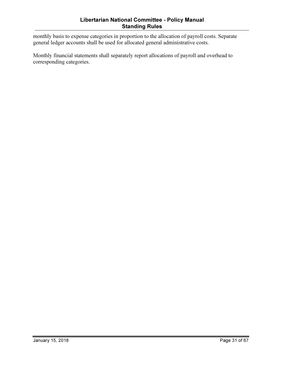monthly basis to expense categories in proportion to the allocation of payroll costs. Separate general ledger accounts shall be used for allocated general administrative costs.

Monthly financial statements shall separately report allocations of payroll and overhead to corresponding categories.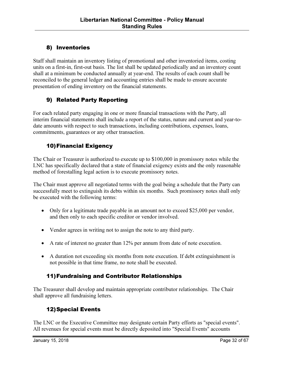#### 8) Inventories

Staff shall maintain an inventory listing of promotional and other inventoried items, costing units on a first-in, first-out basis. The list shall be updated periodically and an inventory count shall at a minimum be conducted annually at year-end. The results of each count shall be reconciled to the general ledger and accounting entries shall be made to ensure accurate presentation of ending inventory on the financial statements.

#### 9) Related Party Reporting

For each related party engaging in one or more financial transactions with the Party, all interim financial statements shall include a report of the status, nature and current and year-todate amounts with respect to such transactions, including contributions, expenses, loans, commitments, guarantees or any other transaction.

#### 10)Financial Exigency

The Chair or Treasurer is authorized to execute up to \$100,000 in promissory notes while the LNC has specifically declared that a state of financial exigency exists and the only reasonable method of forestalling legal action is to execute promissory notes.

The Chair must approve all negotiated terms with the goal being a schedule that the Party can successfully meet to extinguish its debts within six months. Such promissory notes shall only be executed with the following terms:

- Only for a legitimate trade payable in an amount not to exceed \$25,000 per vendor, and then only to each specific creditor or vendor involved.
- Vendor agrees in writing not to assign the note to any third party.
- A rate of interest no greater than 12% per annum from date of note execution.
- A duration not exceeding six months from note execution. If debt extinguishment is not possible in that time frame, no note shall be executed.

#### 11)Fundraising and Contributor Relationships

The Treasurer shall develop and maintain appropriate contributor relationships. The Chair shall approve all fundraising letters.

#### 12)Special Events

The LNC or the Executive Committee may designate certain Party efforts as "special events". All revenues for special events must be directly deposited into "Special Events" accounts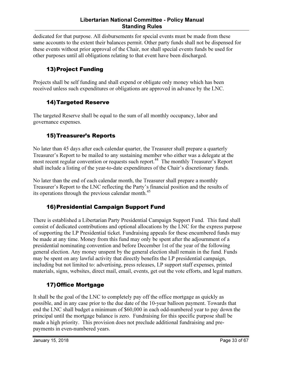dedicated for that purpose. All disbursements for special events must be made from these same accounts to the extent their balances permit. Other party funds shall not be dispensed for these events without prior approval of the Chair, nor shall special events funds be used for other purposes until all obligations relating to that event have been discharged.

## 13)Project Funding

Projects shall be self funding and shall expend or obligate only money which has been received unless such expenditures or obligations are approved in advance by the LNC.

#### 14)Targeted Reserve

The targeted Reserve shall be equal to the sum of all monthly occupancy, labor and governance expenses.

#### 15)Treasurer's Reports

No later than 45 days after each calendar quarter, the Treasurer shall prepare a quarterly Treasurer's Report to be mailed to any sustaining member who either was a delegate at the most recent regular convention or requests such report.<sup>44</sup> The monthly Treasurer's Report shall include a listing of the year-to-date expenditures of the Chair's discretionary funds.

No later than the end of each calendar month, the Treasurer shall prepare a monthly Treasurer's Report to the LNC reflecting the Party's financial position and the results of its operations through the previous calendar month.<sup>45</sup>

#### 16)Presidential Campaign Support Fund

There is established a Libertarian Party Presidential Campaign Support Fund. This fund shall consist of dedicated contributions and optional allocations by the LNC for the express purpose of supporting the LP Presidential ticket. Fundraising appeals for these encumbered funds may be made at any time. Money from this fund may only be spent after the adjournment of a presidential nominating convention and before December 1st of the year of the following general election. Any money unspent by the general election shall remain in the fund. Funds may be spent on any lawful activity that directly benefits the LP presidential campaign, including but not limited to: advertising, press releases, LP support staff expenses, printed materials, signs, websites, direct mail, email, events, get out the vote efforts, and legal matters.

#### 17)Office Mortgage

It shall be the goal of the LNC to completely pay off the office mortgage as quickly as possible, and in any case prior to the due date of the 10-year balloon payment. Towards that end the LNC shall budget a minimum of \$60,000 in each odd-numbered year to pay down the principal until the mortgage balance is zero. Fundraising for this specific purpose shall be made a high priority. This provision does not preclude additional fundraising and prepayments in even-numbered years.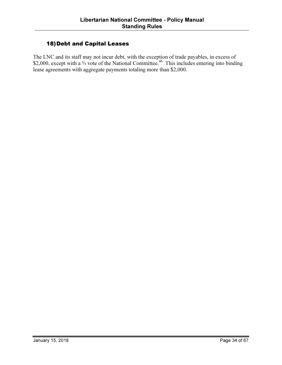#### 18)Debt and Capital Leases

The LNC and its staff may not incur debt, with the exception of trade payables, in excess of \$2,000, except with a <sup>2</sup>⁄<sub>3</sub> vote of the National Committee.<sup>46</sup> This includes entering into binding lease agreements with aggregate payments totaling more than \$2,000.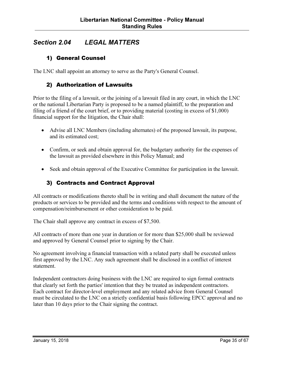## Section 2.04 LEGAL MATTERS

#### 1) General Counsel

The LNC shall appoint an attorney to serve as the Party's General Counsel.

#### 2) Authorization of Lawsuits

Prior to the filing of a lawsuit, or the joining of a lawsuit filed in any court, in which the LNC or the national Libertarian Party is proposed to be a named plaintiff, to the preparation and filing of a friend of the court brief, or to providing material (costing in excess of \$1,000) financial support for the litigation, the Chair shall:

- Advise all LNC Members (including alternates) of the proposed lawsuit, its purpose, and its estimated cost;
- Confirm, or seek and obtain approval for, the budgetary authority for the expenses of the lawsuit as provided elsewhere in this Policy Manual; and
- Seek and obtain approval of the Executive Committee for participation in the lawsuit.

#### 3) Contracts and Contract Approval

All contracts or modifications thereto shall be in writing and shall document the nature of the products or services to be provided and the terms and conditions with respect to the amount of compensation/reimbursement or other consideration to be paid.

The Chair shall approve any contract in excess of \$7,500.

All contracts of more than one year in duration or for more than \$25,000 shall be reviewed and approved by General Counsel prior to signing by the Chair.

No agreement involving a financial transaction with a related party shall be executed unless first approved by the LNC. Any such agreement shall be disclosed in a conflict of interest statement.

Independent contractors doing business with the LNC are required to sign formal contracts that clearly set forth the parties' intention that they be treated as independent contractors. Each contract for director-level employment and any related advice from General Counsel must be circulated to the LNC on a strictly confidential basis following EPCC approval and no later than 10 days prior to the Chair signing the contract.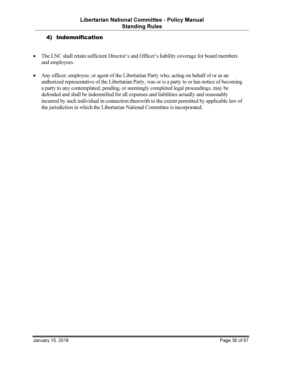#### 4) Indemnification

- The LNC shall retain sufficient Director's and Officer's liability coverage for board members and employees.
- Any officer, employee, or agent of the Libertarian Party who, acting on behalf of or as an authorized representative of the Libertarian Party, was or is a party to or has notice of becoming a party to any contemplated, pending, or seemingly completed legal proceedings, may be defended and shall be indemnified for all expenses and liabilities actually and reasonably incurred by such individual in connection therewith to the extent permitted by applicable law of the jurisdiction in which the Libertarian National Committee is incorporated.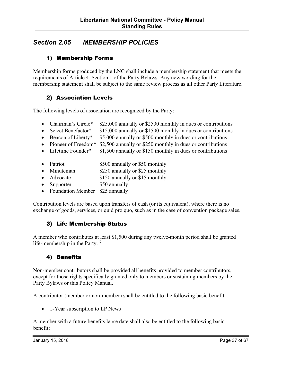## Section 2.05 MEMBERSHIP POLICIES

#### 1) Membership Forms

Membership forms produced by the LNC shall include a membership statement that meets the requirements of Article 4, Section 1 of the Party Bylaws. Any new wording for the membership statement shall be subject to the same review process as all other Party Literature.

#### 2) Association Levels

The following levels of association are recognized by the Party:

- Chairman's Circle\* \$25,000 annually or \$2500 monthly in dues or contributions
- Select Benefactor\* \$15,000 annually or \$1500 monthly in dues or contributions
- Beacon of Liberty\* \$5,000 annually or \$500 monthly in dues or contributions
- Pioneer of Freedom<sup>\*</sup> \$2,500 annually or \$250 monthly in dues or contributions
- Lifetime Founder\*  $$1,500$  annually or \$150 monthly in dues or contributions
- Patriot \$500 annually or \$50 monthly
- Minuteman \$250 annually or \$25 monthly
- Advocate \$150 annually or \$15 monthly
- Supporter \$50 annually
- Foundation Member \$25 annually

Contribution levels are based upon transfers of cash (or its equivalent), where there is no exchange of goods, services, or quid pro quo, such as in the case of convention package sales.

#### 3) Life Membership Status

A member who contributes at least \$1,500 during any twelve-month period shall be granted life-membership in the Party. $47$ 

#### 4) Benefits

Non-member contributors shall be provided all benefits provided to member contributors, except for those rights specifically granted only to members or sustaining members by the Party Bylaws or this Policy Manual.

A contributor (member or non-member) shall be entitled to the following basic benefit:

• 1-Year subscription to LP News

A member with a future benefits lapse date shall also be entitled to the following basic benefit: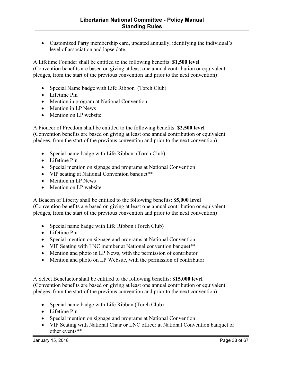• Customized Party membership card, updated annually, identifying the individual's level of association and lapse date.

A Lifetime Founder shall be entitled to the following benefits: \$1,500 level (Convention benefits are based on giving at least one annual contribution or equivalent pledges, from the start of the previous convention and prior to the next convention)

- Special Name badge with Life Ribbon (Torch Club)
- Lifetime Pin
- Mention in program at National Convention
- Mention in LP News
- Mention on LP website

A Pioneer of Freedom shall be entitled to the following benefits: \$2,500 level (Convention benefits are based on giving at least one annual contribution or equivalent pledges, from the start of the previous convention and prior to the next convention)

- Special name badge with Life Ribbon (Torch Club)
- Lifetime Pin
- Special mention on signage and programs at National Convention
- VIP seating at National Convention banquet\*\*
- Mention in LP News
- Mention on LP website

A Beacon of Liberty shall be entitled to the following benefits: \$5,000 level (Convention benefits are based on giving at least one annual contribution or equivalent pledges, from the start of the previous convention and prior to the next convention)

- Special name badge with Life Ribbon (Torch Club)
- Lifetime Pin
- Special mention on signage and programs at National Convention
- VIP Seating with LNC member at National convention banquet\*\*
- Mention and photo in LP News, with the permission of contributor
- Mention and photo on LP Website, with the permission of contributor

A Select Benefactor shall be entitled to the following benefits: \$15,000 level (Convention benefits are based on giving at least one annual contribution or equivalent pledges, from the start of the previous convention and prior to the next convention)

- Special name badge with Life Ribbon (Torch Club)
- Lifetime Pin
- Special mention on signage and programs at National Convention
- VIP Seating with National Chair or LNC officer at National Convention banquet or other events\*\*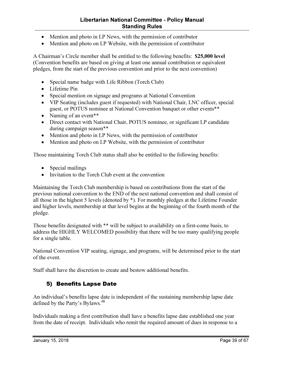#### Libertarian National Committee - Policy Manual Standing Rules

- Mention and photo in LP News, with the permission of contributor
- Mention and photo on LP Website, with the permission of contributor

A Chairman's Circle member shall be entitled to the following benefits: \$25,000 level (Convention benefits are based on giving at least one annual contribution or equivalent pledges, from the start of the previous convention and prior to the next convention)

- Special name badge with Life Ribbon (Torch Club)
- Lifetime Pin
- Special mention on signage and programs at National Convention
- VIP Seating (includes guest if requested) with National Chair, LNC officer, special guest, or POTUS nominee at National Convention banquet or other events\*\*
- Naming of an event<sup>\*\*</sup>
- Direct contact with National Chair, POTUS nominee, or significant LP candidate during campaign season\*\*
- Mention and photo in LP News, with the permission of contributor
- Mention and photo on LP Website, with the permission of contributor

Those maintaining Torch Club status shall also be entitled to the following benefits:

- Special mailings
- Invitation to the Torch Club event at the convention

Maintaining the Torch Club membership is based on contributions from the start of the previous national convention to the END of the next national convention and shall consist of all those in the highest 5 levels (denoted by \*). For monthly pledges at the Lifetime Founder and higher levels, membership at that level begins at the beginning of the fourth month of the pledge.

Those benefits designated with \*\* will be subject to availability on a first-come basis, to address the HIGHLY WELCOMED possibility that there will be too many qualifying people for a single table.

National Convention VIP seating, signage, and programs, will be determined prior to the start of the event.

Staff shall have the discretion to create and bestow additional benefits.

#### 5) Benefits Lapse Date

An individual's benefits lapse date is independent of the sustaining membership lapse date defined by the Party's Bylaws.<sup>48</sup>

Individuals making a first contribution shall have a benefits lapse date established one year from the date of receipt. Individuals who remit the required amount of dues in response to a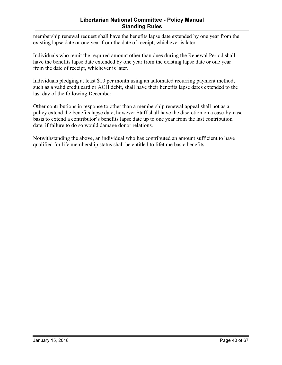#### Libertarian National Committee - Policy Manual Standing Rules

membership renewal request shall have the benefits lapse date extended by one year from the existing lapse date or one year from the date of receipt, whichever is later.

Individuals who remit the required amount other than dues during the Renewal Period shall have the benefits lapse date extended by one year from the existing lapse date or one year from the date of receipt, whichever is later.

Individuals pledging at least \$10 per month using an automated recurring payment method, such as a valid credit card or ACH debit, shall have their benefits lapse dates extended to the last day of the following December.

Other contributions in response to other than a membership renewal appeal shall not as a policy extend the benefits lapse date, however Staff shall have the discretion on a case-by-case basis to extend a contributor's benefits lapse date up to one year from the last contribution date, if failure to do so would damage donor relations.

Notwithstanding the above, an individual who has contributed an amount sufficient to have qualified for life membership status shall be entitled to lifetime basic benefits.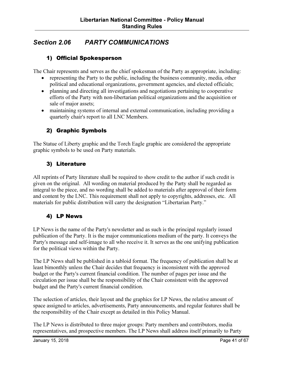## Section 2.06 PARTY COMMUNICATIONS

#### 1) Official Spokesperson

The Chair represents and serves as the chief spokesman of the Party as appropriate, including:

- representing the Party to the public, including the business community, media, other political and educational organizations, government agencies, and elected officials;
- planning and directing all investigations and negotiations pertaining to cooperative efforts of the Party with non-libertarian political organizations and the acquisition or sale of major assets;
- maintaining systems of internal and external communication, including providing a quarterly chair's report to all LNC Members.

#### 2) Graphic Symbols

The Statue of Liberty graphic and the Torch Eagle graphic are considered the appropriate graphic symbols to be used on Party materials.

#### 3) Literature

All reprints of Party literature shall be required to show credit to the author if such credit is given on the original. All wording on material produced by the Party shall be regarded as integral to the piece, and no wording shall be added to materials after approval of their form and content by the LNC. This requirement shall not apply to copyrights, addresses, etc. All materials for public distribution will carry the designation "Libertarian Party."

#### 4) LP News

LP News is the name of the Party's newsletter and as such is the principal regularly issued publication of the Party. It is the major communications medium of the party. It conveys the Party's message and self-image to all who receive it. It serves as the one unifying publication for the political views within the Party.

The LP News shall be published in a tabloid format. The frequency of publication shall be at least bimonthly unless the Chair decides that frequency is inconsistent with the approved budget or the Party's current financial condition. The number of pages per issue and the circulation per issue shall be the responsibility of the Chair consistent with the approved budget and the Party's current financial condition.

The selection of articles, their layout and the graphics for LP News, the relative amount of space assigned to articles, advertisements, Party announcements, and regular features shall be the responsibility of the Chair except as detailed in this Policy Manual.

The LP News is distributed to three major groups: Party members and contributors, media representatives, and prospective members. The LP News shall address itself primarily to Party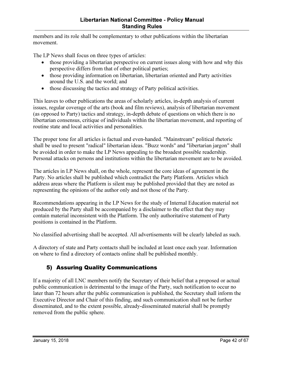members and its role shall be complementary to other publications within the libertarian movement.

The LP News shall focus on three types of articles:

- those providing a libertarian perspective on current issues along with how and why this perspective differs from that of other political parties;
- those providing information on libertarian, libertarian oriented and Party activities around the U.S. and the world; and
- those discussing the tactics and strategy of Party political activities.

This leaves to other publications the areas of scholarly articles, in-depth analysis of current issues, regular coverage of the arts (book and film reviews), analysis of libertarian movement (as opposed to Party) tactics and strategy, in-depth debate of questions on which there is no libertarian consensus, critique of individuals within the libertarian movement, and reporting of routine state and local activities and personalities.

The proper tone for all articles is factual and even-handed. "Mainstream" political rhetoric shall be used to present "radical" libertarian ideas. "Buzz words" and "libertarian jargon" shall be avoided in order to make the LP News appealing to the broadest possible readership. Personal attacks on persons and institutions within the libertarian movement are to be avoided.

The articles in LP News shall, on the whole, represent the core ideas of agreement in the Party. No articles shall be published which contradict the Party Platform. Articles which address areas where the Platform is silent may be published provided that they are noted as representing the opinions of the author only and not those of the Party.

Recommendations appearing in the LP News for the study of Internal Education material not produced by the Party shall be accompanied by a disclaimer to the effect that they may contain material inconsistent with the Platform. The only authoritative statement of Party positions is contained in the Platform.

No classified advertising shall be accepted. All advertisements will be clearly labeled as such.

A directory of state and Party contacts shall be included at least once each year. Information on where to find a directory of contacts online shall be published monthly.

## 5) Assuring Quality Communications

If a majority of all LNC members notify the Secretary of their belief that a proposed or actual public communication is detrimental to the image of the Party, such notification to occur no later than 72 hours after the public communication is published, the Secretary shall inform the Executive Director and Chair of this finding, and such communication shall not be further disseminated, and to the extent possible, already-disseminated material shall be promptly removed from the public sphere.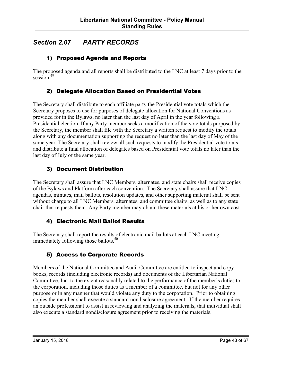## Section 2.07 PARTY RECORDS

#### 1) Proposed Agenda and Reports

The proposed agenda and all reports shall be distributed to the LNC at least 7 days prior to the session.<sup>49</sup>

#### 2) Delegate Allocation Based on Presidential Votes

The Secretary shall distribute to each affiliate party the Presidential vote totals which the Secretary proposes to use for purposes of delegate allocation for National Conventions as provided for in the Bylaws, no later than the last day of April in the year following a Presidential election. If any Party member seeks a modification of the vote totals proposed by the Secretary, the member shall file with the Secretary a written request to modify the totals along with any documentation supporting the request no later than the last day of May of the same year. The Secretary shall review all such requests to modify the Presidential vote totals and distribute a final allocation of delegates based on Presidential vote totals no later than the last day of July of the same year.

#### 3) Document Distribution

The Secretary shall assure that LNC Members, alternates, and state chairs shall receive copies of the Bylaws and Platform after each convention. The Secretary shall assure that LNC agendas, minutes, mail ballots, resolution updates, and other supporting material shall be sent without charge to all LNC Members, alternates, and committee chairs, as well as to any state chair that requests them. Any Party member may obtain these materials at his or her own cost.

#### 4) Electronic Mail Ballot Results

The Secretary shall report the results of electronic mail ballots at each LNC meeting immediately following those ballots. $50$ 

#### 5) Access to Corporate Records

Members of the National Committee and Audit Committee are entitled to inspect and copy books, records (including electronic records) and documents of the Libertarian National Committee, Inc. to the extent reasonably related to the performance of the member's duties to the corporation, including those duties as a member of a committee, but not for any other purpose or in any manner that would violate any duty to the corporation. Prior to obtaining copies the member shall execute a standard nondisclosure agreement. If the member requires an outside professional to assist in reviewing and analyzing the materials, that individual shall also execute a standard nondisclosure agreement prior to receiving the materials.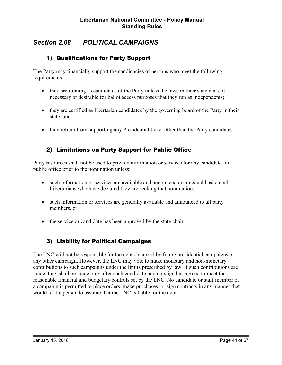## Section 2.08 POLITICAL CAMPAIGNS

#### 1) Qualifications for Party Support

The Party may financially support the candidacies of persons who meet the following requirements:

- they are running as candidates of the Party unless the laws in their state make it necessary or desirable for ballot access purposes that they run as independents;
- they are certified as libertarian candidates by the governing board of the Party in their state; and
- they refrain from supporting any Presidential ticket other than the Party candidates.

#### 2) Limitations on Party Support for Public Office

Party resources shall not be used to provide information or services for any candidate for public office prior to the nomination unless:

- such information or services are available and announced on an equal basis to all Libertarians who have declared they are seeking that nomination,
- such information or services are generally available and announced to all party members, or
- the service or candidate has been approved by the state chair.

#### 3) Liability for Political Campaigns

The LNC will not be responsible for the debts incurred by future presidential campaigns or any other campaign. However, the LNC may vote to make monetary and non-monetary contributions to such campaigns under the limits prescribed by law. If such contributions are made, they shall be made only after such candidate or campaign has agreed to meet the reasonable financial and budgetary controls set by the LNC. No candidate or staff member of a campaign is permitted to place orders, make purchases, or sign contracts in any manner that would lead a person to assume that the LNC is liable for the debt.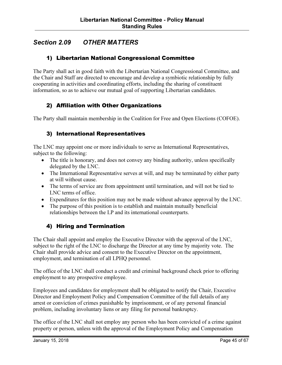## Section 2.09 OTHER MATTERS

#### 1) Libertarian National Congressional Committee

The Party shall act in good faith with the Libertarian National Congressional Committee, and the Chair and Staff are directed to encourage and develop a symbiotic relationship by fully cooperating in activities and coordinating efforts, including the sharing of constituent information, so as to achieve our mutual goal of supporting Libertarian candidates.

#### 2) Affiliation with Other Organizations

The Party shall maintain membership in the Coalition for Free and Open Elections (COFOE).

#### 3) International Representatives

The LNC may appoint one or more individuals to serve as International Representatives, subject to the following:

- The title is honorary, and does not convey any binding authority, unless specifically delegated by the LNC.
- The International Representative serves at will, and may be terminated by either party at will without cause.
- The terms of service are from appointment until termination, and will not be tied to LNC terms of office.
- Expenditures for this position may not be made without advance approval by the LNC.
- The purpose of this position is to establish and maintain mutually beneficial relationships between the LP and its international counterparts.

#### 4) Hiring and Termination

The Chair shall appoint and employ the Executive Director with the approval of the LNC, subject to the right of the LNC to discharge the Director at any time by majority vote. The Chair shall provide advice and consent to the Executive Director on the appointment, employment, and termination of all LPHQ personnel.

The office of the LNC shall conduct a credit and criminal background check prior to offering employment to any prospective employee.

Employees and candidates for employment shall be obligated to notify the Chair, Executive Director and Employment Policy and Compensation Committee of the full details of any arrest or conviction of crimes punishable by imprisonment, or of any personal financial problem, including involuntary liens or any filing for personal bankruptcy.

The office of the LNC shall not employ any person who has been convicted of a crime against property or person, unless with the approval of the Employment Policy and Compensation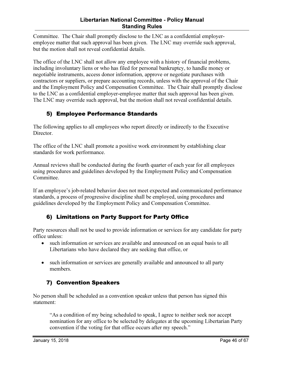Committee. The Chair shall promptly disclose to the LNC as a confidential employeremployee matter that such approval has been given. The LNC may override such approval, but the motion shall not reveal confidential details.

The office of the LNC shall not allow any employee with a history of financial problems, including involuntary liens or who has filed for personal bankruptcy, to handle money or negotiable instruments, access donor information, approve or negotiate purchases with contractors or suppliers, or prepare accounting records, unless with the approval of the Chair and the Employment Policy and Compensation Committee. The Chair shall promptly disclose to the LNC as a confidential employer-employee matter that such approval has been given. The LNC may override such approval, but the motion shall not reveal confidential details.

## 5) Employee Performance Standards

The following applies to all employees who report directly or indirectly to the Executive Director.

The office of the LNC shall promote a positive work environment by establishing clear standards for work performance.

Annual reviews shall be conducted during the fourth quarter of each year for all employees using procedures and guidelines developed by the Employment Policy and Compensation Committee.

If an employee's job-related behavior does not meet expected and communicated performance standards, a process of progressive discipline shall be employed, using procedures and guidelines developed by the Employment Policy and Compensation Committee.

#### 6) Limitations on Party Support for Party Office

Party resources shall not be used to provide information or services for any candidate for party office unless:

- such information or services are available and announced on an equal basis to all Libertarians who have declared they are seeking that office, or
- such information or services are generally available and announced to all party members.

## 7) Convention Speakers

No person shall be scheduled as a convention speaker unless that person has signed this statement:

"As a condition of my being scheduled to speak, I agree to neither seek nor accept nomination for any office to be selected by delegates at the upcoming Libertarian Party convention if the voting for that office occurs after my speech."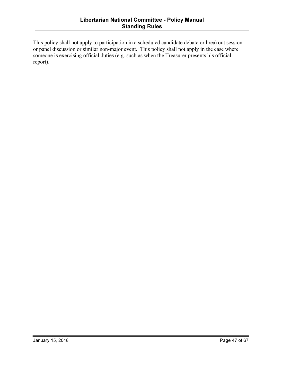This policy shall not apply to participation in a scheduled candidate debate or breakout session or panel discussion or similar non-major event. This policy shall not apply in the case where someone is exercising official duties (e.g. such as when the Treasurer presents his official report).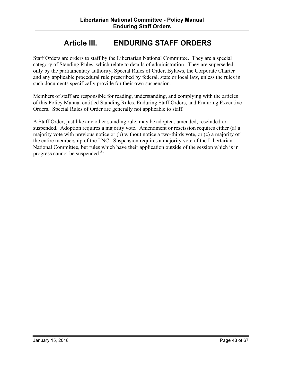## Article III. ENDURING STAFF ORDERS

Staff Orders are orders to staff by the Libertarian National Committee. They are a special category of Standing Rules, which relate to details of administration. They are superseded only by the parliamentary authority, Special Rules of Order, Bylaws, the Corporate Charter and any applicable procedural rule prescribed by federal, state or local law, unless the rules in such documents specifically provide for their own suspension.

Members of staff are responsible for reading, understanding, and complying with the articles of this Policy Manual entitled Standing Rules, Enduring Staff Orders, and Enduring Executive Orders. Special Rules of Order are generally not applicable to staff.

A Staff Order, just like any other standing rule, may be adopted, amended, rescinded or suspended. Adoption requires a majority vote. Amendment or rescission requires either (a) a majority vote with previous notice or (b) without notice a two-thirds vote, or (c) a majority of the entire membership of the LNC. Suspension requires a majority vote of the Libertarian National Committee, but rules which have their application outside of the session which is in progress cannot be suspended. $51$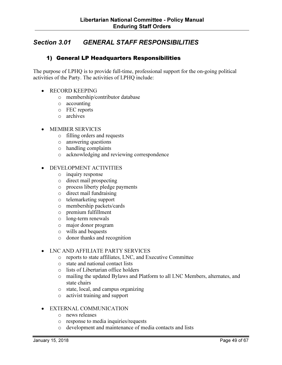## Section 3.01 GENERAL STAFF RESPONSIBILITIES

#### 1) General LP Headquarters Responsibilities

The purpose of LPHQ is to provide full-time, professional support for the on-going political activities of the Party. The activities of LPHQ include:

- RECORD KEEPING
	- o membership/contributor database
	- o accounting
	- o FEC reports
	- o archives
- MEMBER SERVICES
	- o filling orders and requests
	- o answering questions
	- o handling complaints
	- o acknowledging and reviewing correspondence
- DEVELOPMENT ACTIVITIES
	- o inquiry response
	- o direct mail prospecting
	- o process liberty pledge payments
	- o direct mail fundraising
	- o telemarketing support
	- o membership packets/cards
	- o premium fulfillment
	- o long-term renewals
	- o major donor program
	- o wills and bequests
	- o donor thanks and recognition

#### • LNC AND AFFILIATE PARTY SERVICES

- o reports to state affiliates, LNC, and Executive Committee
- o state and national contact lists
- o lists of Libertarian office holders
- o mailing the updated Bylaws and Platform to all LNC Members, alternates, and state chairs
- o state, local, and campus organizing
- o activist training and support

#### • EXTERNAL COMMUNICATION

- o news releases
- o response to media inquiries/requests
- o development and maintenance of media contacts and lists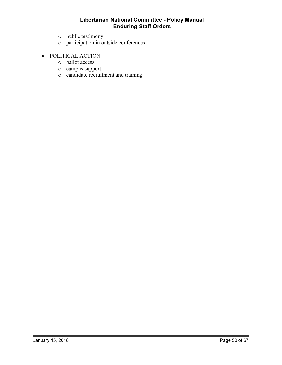- o public testimony
- o participation in outside conferences
- POLITICAL ACTION
	- o ballot access
	- o campus support
	- o candidate recruitment and training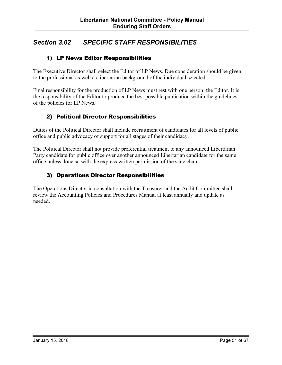## Section 3.02 SPECIFIC STAFF RESPONSIBILITIES

#### 1) LP News Editor Responsibilities

The Executive Director shall select the Editor of LP News. Due consideration should be given to the professional as well as libertarian background of the individual selected.

Final responsibility for the production of LP News must rest with one person: the Editor. It is the responsibility of the Editor to produce the best possible publication within the guidelines of the policies for LP News.

#### 2) Political Director Responsibilities

Duties of the Political Director shall include recruitment of candidates for all levels of public office and public advocacy of support for all stages of their candidacy.

The Political Director shall not provide preferential treatment to any announced Libertarian Party candidate for public office over another announced Libertarian candidate for the same office unless done so with the express written permission of the state chair.

#### 3) Operations Director Responsibilities

The Operations Director in consultation with the Treasurer and the Audit Committee shall review the Accounting Policies and Procedures Manual at least annually and update as needed.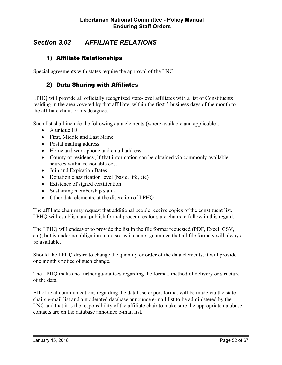## Section 3.03 AFFILIATE RELATIONS

#### 1) Affiliate Relationships

Special agreements with states require the approval of the LNC.

#### 2) Data Sharing with Affiliates

LPHQ will provide all officially recognized state-level affiliates with a list of Constituents residing in the area covered by that affiliate, within the first 5 business days of the month to the affiliate chair, or his designee.

Such list shall include the following data elements (where available and applicable):

- A unique ID
- First, Middle and Last Name
- Postal mailing address
- Home and work phone and email address
- County of residency, if that information can be obtained via commonly available sources within reasonable cost
- Join and Expiration Dates
- Donation classification level (basic, life, etc)
- Existence of signed certification
- Sustaining membership status
- Other data elements, at the discretion of LPHQ

The affiliate chair may request that additional people receive copies of the constituent list. LPHQ will establish and publish formal procedures for state chairs to follow in this regard.

The LPHQ will endeavor to provide the list in the file format requested (PDF, Excel, CSV, etc), but is under no obligation to do so, as it cannot guarantee that all file formats will always be available.

Should the LPHQ desire to change the quantity or order of the data elements, it will provide one month's notice of such change.

The LPHQ makes no further guarantees regarding the format, method of delivery or structure of the data.

All official communications regarding the database export format will be made via the state chairs e-mail list and a moderated database announce e-mail list to be administered by the LNC and that it is the responsibility of the affiliate chair to make sure the appropriate database contacts are on the database announce e-mail list.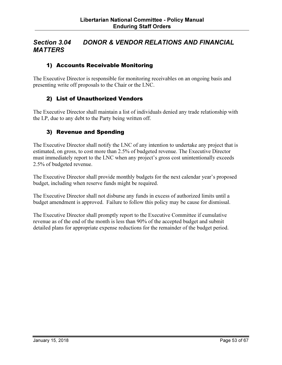## Section 3.04 DONOR & VENDOR RELATIONS AND FINANCIAL **MATTERS**

#### 1) Accounts Receivable Monitoring

The Executive Director is responsible for monitoring receivables on an ongoing basis and presenting write off proposals to the Chair or the LNC.

#### 2) List of Unauthorized Vendors

The Executive Director shall maintain a list of individuals denied any trade relationship with the LP, due to any debt to the Party being written off.

#### 3) Revenue and Spending

The Executive Director shall notify the LNC of any intention to undertake any project that is estimated, on gross, to cost more than 2.5% of budgeted revenue. The Executive Director must immediately report to the LNC when any project's gross cost unintentionally exceeds 2.5% of budgeted revenue.

The Executive Director shall provide monthly budgets for the next calendar year's proposed budget, including when reserve funds might be required.

The Executive Director shall not disburse any funds in excess of authorized limits until a budget amendment is approved. Failure to follow this policy may be cause for dismissal.

The Executive Director shall promptly report to the Executive Committee if cumulative revenue as of the end of the month is less than 90% of the accepted budget and submit detailed plans for appropriate expense reductions for the remainder of the budget period.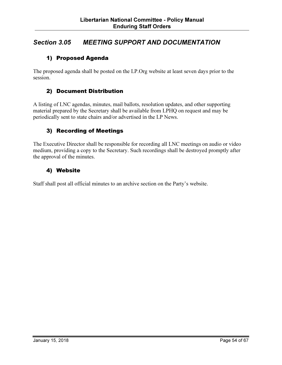## Section 3.05 MEETING SUPPORT AND DOCUMENTATION

#### 1) Proposed Agenda

The proposed agenda shall be posted on the LP.Org website at least seven days prior to the session.

#### 2) Document Distribution

A listing of LNC agendas, minutes, mail ballots, resolution updates, and other supporting material prepared by the Secretary shall be available from LPHQ on request and may be periodically sent to state chairs and/or advertised in the LP News.

#### 3) Recording of Meetings

The Executive Director shall be responsible for recording all LNC meetings on audio or video medium, providing a copy to the Secretary. Such recordings shall be destroyed promptly after the approval of the minutes.

#### 4) Website

Staff shall post all official minutes to an archive section on the Party's website.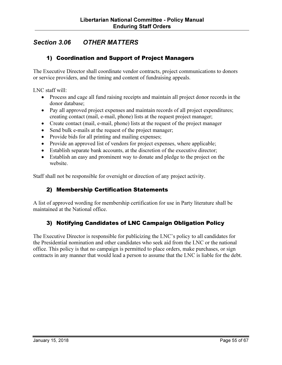## Section 3.06 OTHER MATTERS

#### 1) Coordination and Support of Project Managers

The Executive Director shall coordinate vendor contracts, project communications to donors or service providers, and the timing and content of fundraising appeals.

LNC staff will:

- Process and cage all fund raising receipts and maintain all project donor records in the donor database;
- Pay all approved project expenses and maintain records of all project expenditures; creating contact (mail, e-mail, phone) lists at the request project manager;
- Create contact (mail, e-mail, phone) lists at the request of the project manager
- Send bulk e-mails at the request of the project manager;
- Provide bids for all printing and mailing expenses;
- Provide an approved list of vendors for project expenses, where applicable;
- Establish separate bank accounts, at the discretion of the executive director;
- Establish an easy and prominent way to donate and pledge to the project on the website.

Staff shall not be responsible for oversight or direction of any project activity.

#### 2) Membership Certification Statements

A list of approved wording for membership certification for use in Party literature shall be maintained at the National office.

#### 3) Notifying Candidates of LNC Campaign Obligation Policy

The Executive Director is responsible for publicizing the LNC's policy to all candidates for the Presidential nomination and other candidates who seek aid from the LNC or the national office. This policy is that no campaign is permitted to place orders, make purchases, or sign contracts in any manner that would lead a person to assume that the LNC is liable for the debt.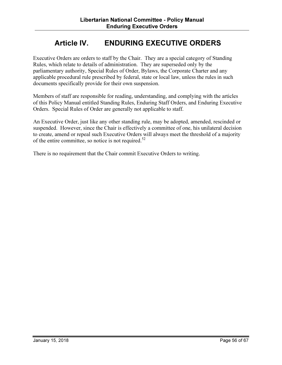## Article IV. ENDURING EXECUTIVE ORDERS

Executive Orders are orders to staff by the Chair. They are a special category of Standing Rules, which relate to details of administration. They are superseded only by the parliamentary authority, Special Rules of Order, Bylaws, the Corporate Charter and any applicable procedural rule prescribed by federal, state or local law, unless the rules in such documents specifically provide for their own suspension.

Members of staff are responsible for reading, understanding, and complying with the articles of this Policy Manual entitled Standing Rules, Enduring Staff Orders, and Enduring Executive Orders. Special Rules of Order are generally not applicable to staff.

An Executive Order, just like any other standing rule, may be adopted, amended, rescinded or suspended. However, since the Chair is effectively a committee of one, his unilateral decision to create, amend or repeal such Executive Orders will always meet the threshold of a majority of the entire committee, so notice is not required.<sup>52</sup>

There is no requirement that the Chair commit Executive Orders to writing.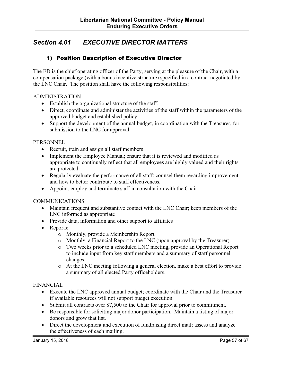## Section 4.01 EXECUTIVE DIRECTOR MATTERS

#### 1) Position Description of Executive Director

The ED is the chief operating officer of the Party, serving at the pleasure of the Chair, with a compensation package (with a bonus incentive structure) specified in a contract negotiated by the LNC Chair. The position shall have the following responsibilities:

#### ADMINISTRATION

- Establish the organizational structure of the staff.
- Direct, coordinate and administer the activities of the staff within the parameters of the approved budget and established policy.
- Support the development of the annual budget, in coordination with the Treasurer, for submission to the LNC for approval.

#### **PERSONNEL**

- Recruit, train and assign all staff members
- Implement the Employee Manual; ensure that it is reviewed and modified as appropriate to continually reflect that all employees are highly valued and their rights are protected.
- Regularly evaluate the performance of all staff; counsel them regarding improvement and how to better contribute to staff effectiveness.
- Appoint, employ and terminate staff in consultation with the Chair.

#### COMMUNICATIONS

- Maintain frequent and substantive contact with the LNC Chair; keep members of the LNC informed as appropriate
- Provide data, information and other support to affiliates
- Reports:
	- o Monthly, provide a Membership Report
	- o Monthly, a Financial Report to the LNC (upon approval by the Treasurer).
	- o Two weeks prior to a scheduled LNC meeting, provide an Operational Report to include input from key staff members and a summary of staff personnel changes.
	- o At the LNC meeting following a general election, make a best effort to provide a summary of all elected Party officeholders.

#### FINANCIAL

- Execute the LNC approved annual budget; coordinate with the Chair and the Treasurer if available resources will not support budget execution.
- Submit all contracts over \$7,500 to the Chair for approval prior to commitment.
- Be responsible for soliciting major donor participation. Maintain a listing of major donors and grow that list.
- Direct the development and execution of fundraising direct mail; assess and analyze the effectiveness of each mailing.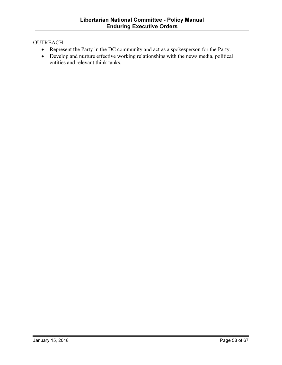#### **OUTREACH**

- Represent the Party in the DC community and act as a spokesperson for the Party.
- Develop and nurture effective working relationships with the news media, political entities and relevant think tanks.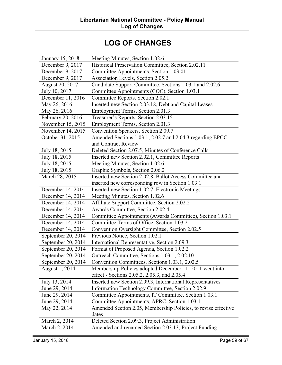## LOG OF CHANGES

| January 15, 2018   | Meeting Minutes, Section 1.02.6                                |
|--------------------|----------------------------------------------------------------|
| December 9, 2017   | Historical Preservation Committee, Section 2.02.11             |
| December 9, 2017   | Committee Appointments, Section 1.03.01                        |
| December 9, 2017   | Association Levels, Section 2.05.2                             |
| August 20, 2017    | Candidate Support Committee, Sections 1.03.1 and 2.02.6        |
| July 10, 2017      | Committee Appointments (COC), Section 1.03.1                   |
| December 11, 2016  | Committee Reports, Section 2.02.1                              |
| May 26, 2016       | Inserted new Section 2.03.18, Debt and Capital Leases          |
| May 26, 2016       | Employment Terms, Section 2.01.3                               |
| February 20, 2016  | Treasurer's Reports, Section 2.03.15                           |
| November 15, 2015  | Employment Terms, Section 2.01.3                               |
| November 14, 2015  | Convention Speakers, Section 2.09.7                            |
| October 31, 2015   | Amended Sections 1.03.1, 2.02.7 and 2.04.3 regarding EPCC      |
|                    | and Contract Review                                            |
| July 18, 2015      | Deleted Section 2.07.5, Minutes of Conference Calls            |
| July 18, 2015      | Inserted new Section 2.02.1, Committee Reports                 |
| July 18, 2015      | Meeting Minutes, Section 1.02.6                                |
| July 18, 2015      | Graphic Symbols, Section 2.06.2                                |
| March 28, 2015     | Inserted new Section 2.02.8, Ballot Access Committee and       |
|                    | inserted new corresponding row in Section 1.03.1               |
| December 14, 2014  | Inserted new Section 1.02.7, Electronic Meetings               |
| December 14, 2014  | Meeting Minutes, Section 1.02.6                                |
| December 14, 2014  | Affiliate Support Committee, Section 2.02.2                    |
| December 14, 2014  | Awards Committee, Section 2.02.4                               |
| December 14, 2014  | Committee Appointments (Awards Committee), Section 1.03.1      |
| December 14, 2014  | Committee Terms of Office, Section 1.03.2                      |
| December 14, 2014  | Convention Oversight Committee, Section 2.02.5                 |
| September 20, 2014 | Previous Notice, Section 1.02.1                                |
| September 20, 2014 | International Representative, Section 2.09.3                   |
| September 20, 2014 | Format of Proposed Agenda, Section 1.02.2                      |
| September 20, 2014 | Outreach Committee, Sections 1.03.1, 2.02.10                   |
| September 20, 2014 | Convention Committees, Sections 1.03.1, 2.02.5                 |
| August 1, 2014     | Membership Policies adopted December 11, 2011 went into        |
|                    | effect - Sections 2.05.2, 2.05.3, and 2.05.4                   |
| July 13, 2014      | Inserted new Section 2.09.3, International Representatives     |
| June 29, 2014      | Information Technology Committee, Section 2.02.9               |
| June 29, 2014      | Committee Appointments, IT Committee, Section 1.03.1           |
| June 29, 2014      | Committee Appointments, APRC, Section 1.03.1                   |
| May 22, 2014       | Amended Section 2.05, Membership Policies, to revise effective |
|                    | dates                                                          |
| March 2, 2014      | Deleted Section 2.09.3, Project Administration                 |
| March 2, 2014      | Amended and renamed Section 2.03.13, Project Funding           |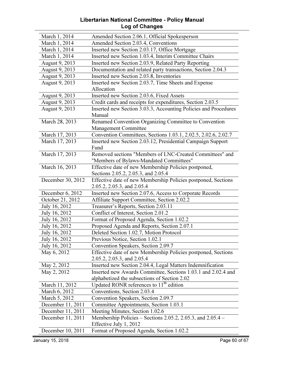#### Libertarian National Committee - Policy Manual Log of Changes

| March 1, 2014     | Amended Section 2.06.1, Official Spokesperson                       |
|-------------------|---------------------------------------------------------------------|
| March 1, 2014     | Amended Section 2.03.4, Conventions                                 |
| March 1, 2014     | Inserted new Section 2.03.17, Office Mortgage                       |
| March 1, 2014     | Inserted new Section 1.03.4, Interim Committee Chairs               |
| August 9, 2013    | Inserted new Section 2.03.9, Related Party Reporting                |
| August 9, 2013    | Documentation and related party transactions, Section 2.04.3        |
| August 9, 2013    | Inserted new Section 2.03.8, Inventories                            |
| August 9, 2013    | Inserted new Section 2.03.7, Time Sheets and Expense                |
|                   | Allocation                                                          |
| August 9, 2013    | Inserted new Section 2.03.6, Fixed Assets                           |
| August 9, 2013    | Credit cards and receipts for expenditures, Section 2.03.5          |
| August 9, 2013    | Inserted new Section 3.03.3, Accounting Policies and Procedures     |
|                   | Manual                                                              |
| March 28, 2013    | Renamed Convention Organizing Committee to Convention               |
|                   | Management Committee                                                |
| March 17, 2013    | Convention Committees, Sections 1.03.1, 2.02.5, 2.02.6, 2.02.7      |
| March 17, 2013    | Inserted new Section 2.03.12, Presidential Campaign Support         |
|                   | Fund                                                                |
| March 17, 2013    | Removed sections "Members of LNC-Created Committees" and            |
|                   | "Members of Bylaws-Mandated Committees"                             |
| March 16, 2013    | Effective date of new Membership Policies postponed,                |
|                   | Sections 2.05.2, 2.05.3, and 2.05.4                                 |
| December 30, 2012 | Effective date of new Membership Policies postponed, Sections       |
|                   | 2.05.2, 2.05.3, and 2.05.4                                          |
| December 6, 2012  | Inserted new Section 2.07.6, Access to Corporate Records            |
| October 21, 2012  | Affiliate Support Committee, Section 2.02.2                         |
| July 16, 2012     | Treasurer's Reports, Section 2.03.11                                |
| July 16, 2012     | Conflict of Interest, Section 2.01.2                                |
| July 16, 2012     | Format of Proposed Agenda, Section 1.02.2                           |
| July 16, 2012     | Proposed Agenda and Reports, Section 2.07.1                         |
| July 16, 2012     | Deleted Section 1.02.7, Motion Protocol                             |
| July 16, 2012     | Previous Notice, Section 1.02.1                                     |
| July 16, 2012     | Convention Speakers, Section 2.09.7                                 |
| May 6, 2012       | Effective date of new Membership Policies postponed, Sections       |
|                   | 2.05.2, 2.05.3, and 2.05.4                                          |
| May 2, 2012       | Inserted new Section 2.04.4, Legal Matters Indemnification          |
| May 2, 2012       | Inserted new Awards Committee, Sections 1.03.1 and 2.02.4 and       |
|                   | alphabetized the subsections of Section 2.02                        |
| March 11, 2012    | Updated RONR references to 11 <sup>th</sup> edition                 |
| March 6, 2012     | Conventions, Section 2.03.4                                         |
| March 5, 2012     | Convention Speakers, Section 2.09.7                                 |
| December 11, 2011 | Committee Appointments, Section 1.03.1                              |
| December 11, 2011 | Meeting Minutes, Section 1.02.6                                     |
| December 11, 2011 | Membership Policies – Sections 2.05.2, 2.05.3, and $2.05.4$ –       |
|                   |                                                                     |
| December 10, 2011 | Effective July 1, 2012<br>Format of Proposed Agenda, Section 1.02.2 |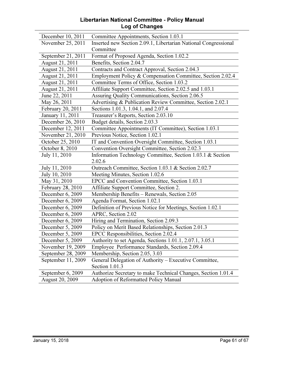#### Libertarian National Committee - Policy Manual Log of Changes

| December 10, 2011      | Committee Appointments, Section 1.03.1                          |
|------------------------|-----------------------------------------------------------------|
| November 25, 2011      | Inserted new Section 2.09.1, Libertarian National Congressional |
|                        | Committee                                                       |
| September 21, 2011     | Format of Proposed Agenda, Section 1.02.2                       |
| August 21, 2011        | Benefits, Section 2.04.7                                        |
| August 21, 2011        | Contracts and Contract Approval, Section 2.04.3                 |
| August 21, 2011        | Employment Policy & Compensation Committee, Section 2.02.4      |
| August 21, 2011        | Committee Terms of Office, Section 1.03.2                       |
| August 21, 2011        | Affiliate Support Committee, Section 2.02.5 and 1.03.1          |
| June 22, 2011          | Assuring Quality Communications, Section 2.06.5                 |
| May 26, 2011           | Advertising & Publication Review Committee, Section 2.02.1      |
| February 20, 2011      | Sections 1.01.3, 1.04.1, and 2.07.4                             |
| January 11, 2011       | Treasurer's Reports, Section 2.03.10                            |
| December 26, 2010      | Budget details, Section 2.03.3                                  |
| December 12, 2011      | Committee Appointments (IT Committee), Section 1.03.1           |
| November 21, 2010      | Previous Notice, Section 1.02.1                                 |
| October 25, 2010       | IT and Convention Oversight Committee, Section 1.03.1           |
| October 8, 2010        | Convention Oversight Committee, Section 2.02.3                  |
| July 11, 2010          | Information Technology Committee, Section 1.03.1 & Section      |
|                        | 2.02.6                                                          |
| July 11, 2010          | Outreach Committee, Section 1.03.1 & Section 2.02.7             |
| July 10, 2010          | Meeting Minutes, Section 1.02.6                                 |
| May 31, 2010           | EPCC and Convention Committee, Section 1.03.1                   |
| February 28, 2010      | Affiliate Support Committee, Section 2.                         |
| December 6, 2009       | Membership Benefits - Renewals, Section 2.05                    |
| December 6, 2009       | Agenda Format, Section 1.02.1                                   |
| December 6, 2009       | Definition of Previous Notice for Meetings, Section 1.02.1      |
| December 6, 2009       | APRC, Section 2.02                                              |
| December 6, 2009       | Hiring and Termination, Section 2.09.3                          |
| December 5, 2009       | Policy on Merit Based Relationships, Section 2.01.3             |
| December 5, 2009       | EPCC Responsibilities, Section 2.02.4                           |
| December $5, 2009$     | Authority to set Agenda, Sections 1.01.1, 2.07.1, 3.05.1        |
| November 19, 2009      | Employee Performance Standards, Section 2.09.4                  |
| September 28, 2009     | Membership, Section 2.05, 3.03                                  |
| September 11, 2009     | General Delegation of Authority – Executive Committee,          |
|                        | Section 1.01.3                                                  |
| September 6, 2009      | Authorize Secretary to make Technical Changes, Section 1.01.4   |
| <b>August 20, 2009</b> | Adoption of Reformatted Policy Manual                           |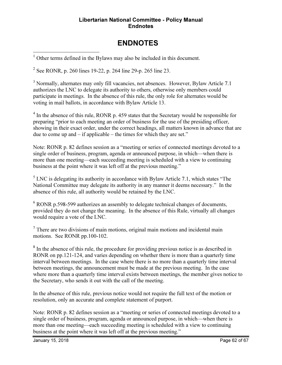#### Libertarian National Committee - Policy Manual **Endnotes**

## ENDNOTES

<u>.</u> <sup>1</sup> Other terms defined in the Bylaws may also be included in this document.

<sup>2</sup> See RONR, p. 260 lines 19-22, p. 264 line 29-p. 265 line 23.

<sup>3</sup> Normally, alternates may only fill vacancies, not absences. However, Bylaw Article 7.1 authorizes the LNC to delegate its authority to others, otherwise only members could participate in meetings. In the absence of this rule, the only role for alternates would be voting in mail ballots, in accordance with Bylaw Article 13.

<sup>4</sup> In the absence of this rule, RONR p. 459 states that the Secretary would be responsible for preparing "prior to each meeting an order of business for the use of the presiding officer, showing in their exact order, under the correct headings, all matters known in advance that are due to come up and – if applicable – the times for which they are set."

Note: RONR p. 82 defines session as a "meeting or series of connected meetings devoted to a single order of business, program, agenda or announced purpose, in which—when there is more than one meeting—each succeeding meeting is scheduled with a view to continuing business at the point where it was left off at the previous meeting."

 $<sup>5</sup>$  LNC is delegating its authority in accordance with Bylaw Article 7.1, which states "The</sup> National Committee may delegate its authority in any manner it deems necessary." In the absence of this rule, all authority would be retained by the LNC.

<sup>6</sup> RONR p.598-599 authorizes an assembly to delegate technical changes of documents, provided they do not change the meaning. In the absence of this Rule, virtually all changes would require a vote of the LNC.

 $7$  There are two divisions of main motions, original main motions and incidental main motions. See RONR pp.100-102.

<sup>8</sup> In the absence of this rule, the procedure for providing previous notice is as described in RONR on pp.121-124, and varies depending on whether there is more than a quarterly time interval between meetings. In the case where there is no more than a quarterly time interval between meetings, the announcement must be made at the previous meeting. In the case where more than a quarterly time interval exists between meetings, the member gives notice to the Secretary, who sends it out with the call of the meeting.

In the absence of this rule, previous notice would not require the full text of the motion or resolution, only an accurate and complete statement of purport.

Note: RONR p. 82 defines session as a "meeting or series of connected meetings devoted to a single order of business, program, agenda or announced purpose, in which—when there is more than one meeting—each succeeding meeting is scheduled with a view to continuing business at the point where it was left off at the previous meeting."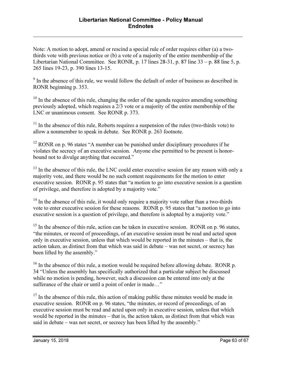Note: A motion to adopt, amend or rescind a special rule of order requires either (a) a twothirds vote with previous notice or (b) a vote of a majority of the entire membership of the Libertarian National Committee. See RONR, p. 17 lines 28-31, p. 87 line 33 – p. 88 line 5, p. 265 lines 19-23, p. 390 lines 13-15.

<sup>9</sup> In the absence of this rule, we would follow the default of order of business as described in RONR beginning p. 353.

 $10$  In the absence of this rule, changing the order of the agenda requires amending something previously adopted, which requires a 2/3 vote or a majority of the entire membership of the LNC or unanimous consent. See RONR p. 373.

 $11$  In the absence of this rule, Roberts requires a suspension of the rules (two-thirds vote) to allow a nonmember to speak in debate. See RONR p. 263 footnote.

 $12$  RONR on p. 96 states "A member can be punished under disciplinary procedures if he violates the secrecy of an executive session. Anyone else permitted to be present is honorbound not to divulge anything that occurred."

<sup>13</sup> In the absence of this rule, the LNC could enter executive session for any reason with only a majority vote, and there would be no such content requirements for the motion to enter executive session. RONR p. 95 states that "a motion to go into executive session is a question of privilege, and therefore is adopted by a majority vote."

<sup>14</sup> In the absence of this rule, it would only require a majority vote rather than a two-thirds vote to enter executive session for these reasons. RONR p. 95 states that "a motion to go into executive session is a question of privilege, and therefore is adopted by a majority vote."

 $15$  In the absence of this rule, action can be taken in executive session. RONR on p. 96 states, "the minutes, or record of proceedings, of an executive session must be read and acted upon only in executive session, unless that which would be reported in the minutes – that is, the action taken, as distinct from that which was said in debate – was not secret, or secrecy has been lifted by the assembly."

 $16$  In the absence of this rule, a motion would be required before allowing debate. RONR p. 34 "Unless the assembly has specifically authorized that a particular subject be discussed while no motion is pending, however, such a discussion can be entered into only at the sufferance of the chair or until a point of order is made…"

 $17$  In the absence of this rule, this action of making public these minutes would be made in executive session. RONR on p. 96 states, "the minutes, or record of proceedings, of an executive session must be read and acted upon only in executive session, unless that which would be reported in the minutes – that is, the action taken, as distinct from that which was said in debate – was not secret, or secrecy has been lifted by the assembly."

<u>.</u>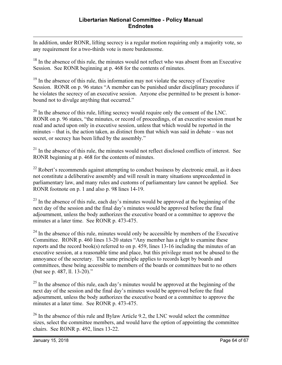In addition, under RONR, lifting secrecy is a regular motion requiring only a majority vote, so any requirement for a two-thirds vote is more burdensome.

<sup>18</sup> In the absence of this rule, the minutes would not reflect who was absent from an Executive Session. See RONR beginning at p. 468 for the contents of minutes.

<sup>19</sup> In the absence of this rule, this information may not violate the secrecy of Executive Session. RONR on p. 96 states "A member can be punished under disciplinary procedures if he violates the secrecy of an executive session. Anyone else permitted to be present is honorbound not to divulge anything that occurred."

 $20$  In the absence of this rule, lifting secrecy would require only the consent of the LNC. RONR on p. 96 states, "the minutes, or record of proceedings, of an executive session must be read and acted upon only in executive session, unless that which would be reported in the minutes – that is, the action taken, as distinct from that which was said in debate – was not secret, or secrecy has been lifted by the assembly."

<sup>21</sup> In the absence of this rule, the minutes would not reflect disclosed conflicts of interest. See RONR beginning at p. 468 for the contents of minutes.

 $22$  Robert's recommends against attempting to conduct business by electronic email, as it does not constitute a deliberative assembly and will result in many situations unprecedented in parliamentary law, and many rules and customs of parliamentary law cannot be applied. See RONR footnote on p. 1 and also p. 98 lines 14-19.

 $23$  In the absence of this rule, each day's minutes would be approved at the beginning of the next day of the session and the final day's minutes would be approved before the final adjournment, unless the body authorizes the executive board or a committee to approve the minutes at a later time. See RONR p. 473-475.

 $^{24}$  In the absence of this rule, minutes would only be accessible by members of the Executive Committee. RONR p. 460 lines 13-20 states "Any member has a right to examine these reports and the record book(s) referred to on p. 459, lines 13-16 including the minutes of an executive session, at a reasonable time and place, but this privilege must not be abused to the annoyance of the secretary. The same principle applies to records kept by boards and committees, these being accessible to members of the boards or committees but to no others (but see p. 487, ll. 13-20)."

 $^{25}$  In the absence of this rule, each day's minutes would be approved at the beginning of the next day of the session and the final day's minutes would be approved before the final adjournment, unless the body authorizes the executive board or a committee to approve the minutes at a later time. See RONR p. 473-475.

 $26$  In the absence of this rule and Bylaw Article 9.2, the LNC would select the committee sizes, select the committee members, and would have the option of appointing the committee chairs. See RONR p. 492, lines 13-22.

<u>.</u>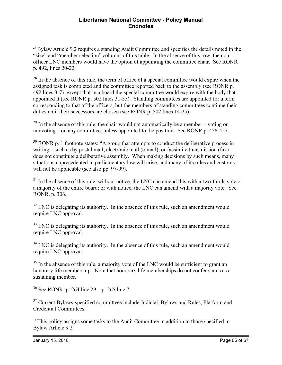$27$  Bylaw Article 9.2 requires a standing Audit Committee and specifies the details noted in the "size" and "member selection" columns of this table. In the absence of this row, the nonofficer LNC members would have the option of appointing the committee chair. See RONR p. 492, lines 20-22.

 $28$  In the absence of this rule, the term of office of a special committee would expire when the assigned task is completed and the committee reported back to the assembly (see RONR p. 492 lines 3-7), except that in a board the special committee would expire with the body that appointed it (see RONR p. 502 lines 31-35). Standing committees are appointed for a term corresponding to that of the officers, but the members of standing committees continue their duties until their successors are chosen (see RONR p. 502 lines 14-25).

 $^{29}$  In the absence of this rule, the chair would not automatically be a member – voting or nonvoting – on any committee, unless appointed to the position. See RONR p. 456-457.

 $30$  RONR p. 1 footnote states: "A group that attempts to conduct the deliberative process in writing – such as by postal mail, electronic mail (e-mail), or facsimile transmission  $(fax)$  – does not constitute a deliberative assembly. When making decisions by such means, many situations unprecedented in parliamentary law will arise, and many of its rules and customs will not be applicable (see also pp. 97-99).

 $31$  In the absence of this rule, without notice, the LNC can amend this with a two-thirds vote or a majority of the entire board; or with notice, the LNC can amend with a majority vote. See RONR, p. 306.

 $32$  LNC is delegating its authority. In the absence of this rule, such an amendment would require LNC approval.

 $33$  LNC is delegating its authority. In the absence of this rule, such an amendment would require LNC approval.

 $34$  LNC is delegating its authority. In the absence of this rule, such an amendment would require LNC approval.

 $35$  In the absence of this rule, a majority vote of the LNC would be sufficient to grant an honorary life membership. Note that honorary life memberships do not confer status as a sustaining member.

 $36$  See RONR, p. 264 line 29 – p. 265 line 7.

<sup>37</sup> Current Bylaws-specified committees include Judicial, Bylaws and Rules, Platform and Credential Committees.

<sup>38</sup> This policy assigns some tasks to the Audit Committee in addition to those specified in Bylaw Article 9.2.

<u>.</u>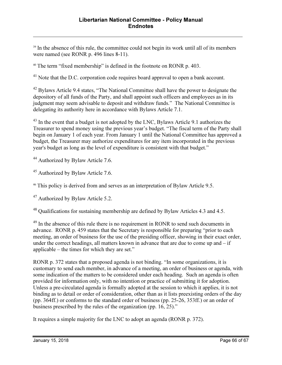<sup>39</sup> In the absence of this rule, the committee could not begin its work until all of its members were named (see RONR p. 496 lines 8-11).

<sup>40</sup> The term "fixed membership" is defined in the footnote on RONR p. 403.

<sup>41</sup> Note that the D.C. corporation code requires board approval to open a bank account.

<sup>42</sup> Bylaws Article 9.4 states, "The National Committee shall have the power to designate the depository of all funds of the Party, and shall appoint such officers and employees as in its judgment may seem advisable to deposit and withdraw funds." The National Committee is delegating its authority here in accordance with Bylaws Article 7.1.

<sup>43</sup> In the event that a budget is not adopted by the LNC, Bylaws Article 9.1 authorizes the Treasurer to spend money using the previous year's budget. "The fiscal term of the Party shall begin on January 1 of each year. From January 1 until the National Committee has approved a budget, the Treasurer may authorize expenditures for any item incorporated in the previous year's budget as long as the level of expenditure is consistent with that budget."

<sup>44</sup> Authorized by Bylaw Article 7.6.

<u>.</u>

<sup>45</sup> Authorized by Bylaw Article 7.6.

<sup>46</sup> This policy is derived from and serves as an interpretation of Bylaw Article 9.5.

<sup>47</sup> Authorized by Bylaw Article 5.2.

<sup>48</sup> Qualifications for sustaining membership are defined by Bylaw Articles 4.3 and 4.5.

<sup>49</sup> In the absence of this rule there is no requirement in RONR to send such documents in advance. RONR p. 459 states that the Secretary is responsible for preparing "prior to each meeting, an order of business for the use of the presiding officer, showing in their exact order, under the correct headings, all matters known in advance that are due to come up and  $-$  if applicable – the times for which they are set."

RONR p. 372 states that a proposed agenda is not binding. "In some organizations, it is customary to send each member, in advance of a meeting, an order of business or agenda, with some indication of the matters to be considered under each heading. Such an agenda is often provided for information only, with no intention or practice of submitting it for adoption. Unless a pre-circulated agenda is formally adopted at the session to which it applies, it is not binding as to detail or order of consideration, other than as it lists preexisting orders of the day (pp. 364ff.) or conforms to the standard order of business (pp. 25-26, 353ff.) or an order of business prescribed by the rules of the organization (pp. 16, 25)."

It requires a simple majority for the LNC to adopt an agenda (RONR p. 372).